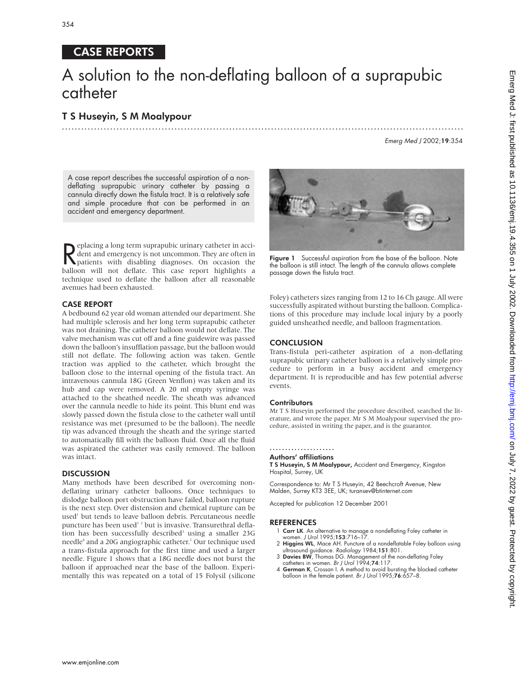# CASE REPORTS

# A solution to the non-deflating balloon of a suprapubic catheter

.............................................................................................................................

# T S Huseyin, S M Moalypour

Emerg Med J 2002;19:354

A case report describes the successful aspiration of a nondeflating suprapubic urinary catheter by passing a cannula directly down the fistula tract. It is a relatively safe and simple procedure that can be performed in an accident and emergency department.

Peplacing a long term suprapubic urinary catheter in acci-<br>dent and emergency is not uncommon. They are often in<br>patients with disabling diagnoses. On occasion the<br>halloon will not deflate. This case report highlights  $\sum$  eplacing a long term suprapubic urinary catheter in accident and emergency is not uncommon. They are often in balloon will not deflate. This case report highlights a technique used to deflate the balloon after all reasonable avenues had been exhausted.

### CASE REPORT

A bedbound 62 year old woman attended our department. She had multiple sclerosis and her long term suprapubic catheter was not draining. The catheter balloon would not deflate. The valve mechanism was cut off and a fine guidewire was passed down the balloon's insufflation passage, but the balloon would still not deflate. The following action was taken. Gentle traction was applied to the catheter, which brought the balloon close to the internal opening of the fistula tract. An intravenous cannula 18G (Green Venflon) was taken and its hub and cap were removed. A 20 ml empty syringe was attached to the sheathed needle. The sheath was advanced over the cannula needle to hide its point. This blunt end was slowly passed down the fistula close to the catheter wall until resistance was met (presumed to be the balloon). The needle tip was advanced through the sheath and the syringe started to automatically fill with the balloon fluid. Once all the fluid was aspirated the catheter was easily removed. The balloon was intact.

## **DISCUSSION**

Many methods have been described for overcoming nondeflating urinary catheter balloons. Once techniques to dislodge balloon port obstruction have failed, balloon rupture is the next step. Over distension and chemical rupture can be used<sup>1</sup> but tends to leave balloon debris. Percutaneous needle puncture has been used<sup>12</sup> but is invasive. Transurethral deflation has been successfully described<sup>3</sup> using a smaller 23G needle<sup>4</sup> and a 20G angiographic catheter.<sup>1</sup> Our technique used a trans-fistula approach for the first time and used a larger needle. Figure 1 shows that a 18G needle does not burst the balloon if approached near the base of the balloon. Experimentally this was repeated on a total of 15 Folysil (silicone



Figure 1 Successful aspiration from the base of the balloon. Note the balloon is still intact. The length of the cannula allows complete passage down the fistula tract.

Foley) catheters sizes ranging from 12 to 16 Ch gauge. All were successfully aspirated without bursting the balloon. Complications of this procedure may include local injury by a poorly guided unsheathed needle, and balloon fragmentation.

#### **CONCLUSION**

Trans-fistula peri-catheter aspiration of a non-deflating suprapubic urinary catheter balloon is a relatively simple procedure to perform in a busy accident and emergency department. It is reproducible and has few potential adverse events.

#### **Contributors**

Mr T S Huseyin performed the procedure described, searched the literature, and wrote the paper. Mr S M Moalypour supervised the procedure, assisted in writing the paper, and is the guarantor.

# .....................

# Authors' affiliations

T S Huseyin, S M Moalypour, Accident and Emergency, Kingston Hospital, Surrey, UK

Correspondence to: Mr T S Huseyin, 42 Beechcroft Avenue, New Malden, Surrey KT3 3EE, UK; turansev@btinternet.com

Accepted for publication 12 December 2001

- 1 Carr LK. An alternative to manage a nondeflating Foley catheter in women. J Urol 1995;153:716–17.
- 2 Higgins WL, Mace AH. Puncture of a nondeflatable Foley balloon using ultrasound guidance. Radiology 1984;151:801.
- 3 Davies BW, Thomas DG. Management of the non-deflating Foley catheters in women. Br J Urol 1994;74:117.
- 4 German K, Crossan I. A method to avoid bursting the blocked catheter balloon in the female patient. Br J Urol 1995;76:657–8.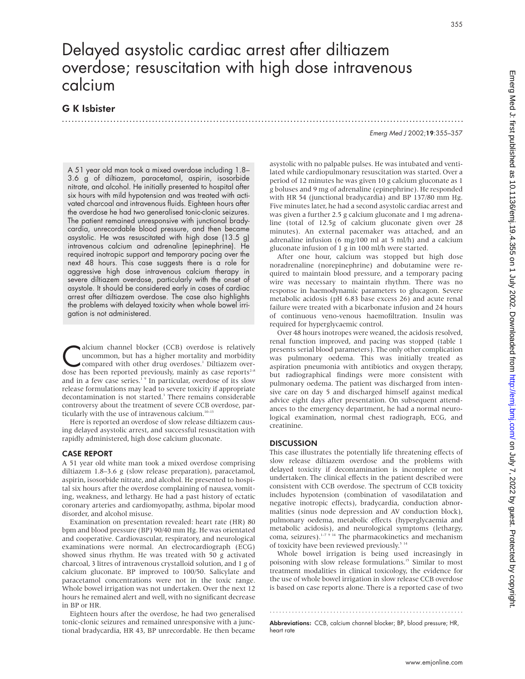# Delayed asystolic cardiac arrest after diltiazem overdose; resuscitation with high dose intravenous calcium

.............................................................................................................................

# G K Isbister

Emerg Med J 2002;19:355–357

A 51 year old man took a mixed overdose including 1.8– 3.6 g of diltiazem, paracetamol, aspirin, isosorbide nitrate, and alcohol. He initially presented to hospital after six hours with mild hypotension and was treated with activated charcoal and intravenous fluids. Eighteen hours after the overdose he had two generalised tonic-clonic seizures. The patient remained unresponsive with junctional bradycardia, unrecordable blood pressure, and then became asystolic. He was resuscitated with high dose (13.5 g) intravenous calcium and adrenaline (epinephrine). He required inotropic support and temporary pacing over the next 48 hours. This case suggests there is a role for aggressive high dose intravenous calcium therapy in severe diltiazem overdose, particularly with the onset of asystole. It should be considered early in cases of cardiac arrest after diltiazem overdose. The case also highlights the problems with delayed toxicity when whole bowel irrigation is not administered.

**Calcium channel blocker (CCB) overdose is relatively**<br>
uncommon, but has a higher mortality and morbidity<br>
compared with other drug overdoses.<sup>1</sup> Diltiazem over-<br>
dose has been reported previously mainly as case reports<sup>2</sup> uncommon, but has a higher mortality and morbidity dose has been reported previously, mainly as case reports<sup>2-8</sup> and in a few case series.<sup>1</sup> <sup>9</sup> In particular, overdose of its slow release formulations may lead to severe toxicity if appropriate decontamination is not started.<sup>3</sup> There remains considerable controversy about the treatment of severe CCB overdose, particularly with the use of intravenous calcium.<sup>10-13</sup>

Here is reported an overdose of slow release diltiazem causing delayed asystolic arrest, and successful resuscitation with rapidly administered, high dose calcium gluconate.

## CASE REPORT

A 51 year old white man took a mixed overdose comprising diltiazem 1.8–3.6 g (slow release preparation), paracetamol, aspirin, isosorbide nitrate, and alcohol. He presented to hospital six hours after the overdose complaining of nausea, vomiting, weakness, and lethargy. He had a past history of ectatic coronary arteries and cardiomyopathy, asthma, bipolar mood disorder, and alcohol misuse.

Examination on presentation revealed: heart rate (HR) 80 bpm and blood pressure (BP) 90/40 mm Hg. He was orientated and cooperative. Cardiovascular, respiratory, and neurological examinations were normal. An electrocardiograph (ECG) showed sinus rhythm. He was treated with 50 g activated charcoal, 3 litres of intravenous crystalloid solution, and 1 g of calcium gluconate. BP improved to 100/50. Salicylate and paracetamol concentrations were not in the toxic range. Whole bowel irrigation was not undertaken. Over the next 12 hours he remained alert and well, with no significant decrease in BP or HR.

Eighteen hours after the overdose, he had two generalised tonic-clonic seizures and remained unresponsive with a junctional bradycardia, HR 43, BP unrecordable. He then became asystolic with no palpable pulses. He was intubated and ventilated while cardiopulmonary resuscitation was started. Over a period of 12 minutes he was given 10 g calcium gluconate as 1 g boluses and 9 mg of adrenaline (epinephrine). He responded with HR 54 (junctional bradycardia) and BP 137/80 mm Hg. Five minutes later, he had a second asystolic cardiac arrest and was given a further 2.5 g calcium gluconate and 1 mg adrenaline (total of 12.5g of calcium gluconate given over 28 minutes). An external pacemaker was attached, and an adrenaline infusion (6 mg/100 ml at 5 ml/h) and a calcium gluconate infusion of 1 g in 100 ml/h were started.

After one hour, calcium was stopped but high dose noradrenaline (norepinephrine) and dobutamine were required to maintain blood pressure, and a temporary pacing wire was necessary to maintain rhythm. There was no response in haemodynamic parameters to glucagon. Severe metabolic acidosis (pH 6.83 base excess 26) and acute renal failure were treated with a bicarbonate infusion and 24 hours of continuous veno-venous haemofiltration. Insulin was required for hyperglycaemic control.

Over 48 hours inotropes were weaned, the acidosis resolved, renal function improved, and pacing was stopped (table 1 presents serial blood parameters). The only other complication was pulmonary oedema. This was initially treated as aspiration pneumonia with antibiotics and oxygen therapy, but radiographical findings were more consistent with pulmonary oedema. The patient was discharged from intensive care on day 5 and discharged himself against medical advice eight days after presentation. On subsequent attendances to the emergency department, he had a normal neurological examination, normal chest radiograph, ECG, and creatinine.

## **DISCUSSION**

This case illustrates the potentially life threatening effects of slow release diltiazem overdose and the problems with delayed toxicity if decontamination is incomplete or not undertaken. The clinical effects in the patient described were consistent with CCB overdose. The spectrum of CCB toxicity includes hypotension (combination of vasodilatation and negative inotropic effects), bradycardia, conduction abnormalities (sinus node depression and AV conduction block), pulmonary oedema, metabolic effects (hyperglycaemia and metabolic acidosis), and neurological symptoms (lethargy, coma, seizures).<sup>1-7 9</sup> <sup>14</sup> The pharmacokinetics and mechanism of toxicity have been reviewed previously.<sup>5 14</sup>

Whole bowel irrigation is being used increasingly in poisoning with slow release formulations.<sup>15</sup> Similar to most treatment modalities in clinical toxicology, the evidence for the use of whole bowel irrigation in slow release CCB overdose is based on case reports alone. There is a reported case of two

............................................................. Abbreviations: CCB, calcium channel blocker; BP, blood pressure; HR, heart rate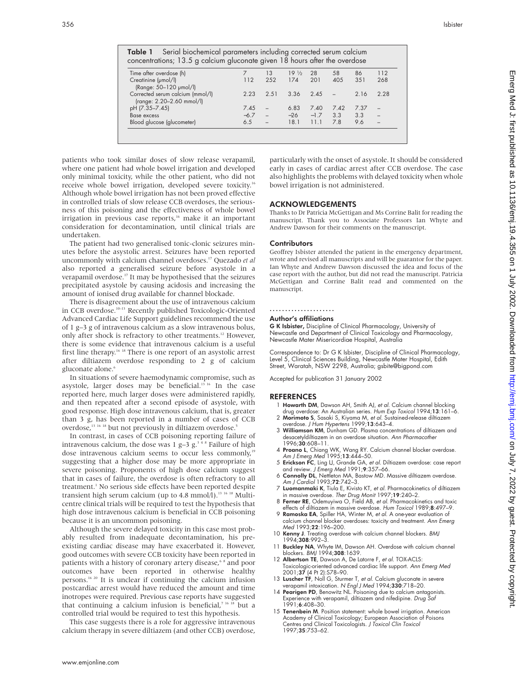| <b>Table 1</b> Serial biochemical parameters including corrected serum calcium<br>concentrations; 13.5 g calcium gluconate given 18 hours after the overdose |       |      |                 |        |      |      |      |
|--------------------------------------------------------------------------------------------------------------------------------------------------------------|-------|------|-----------------|--------|------|------|------|
| Time after overdose (h)                                                                                                                                      |       | 13   | $19\frac{1}{2}$ | 28     | 58   | 86   | 112  |
| Creatinine (umol/l)                                                                                                                                          | 112   | 252  | 174             | 201    | 405  | 351  | 268  |
| (Range: 50-120 µmol/l)                                                                                                                                       |       |      |                 |        |      |      |      |
| Corrected serum calcium (mmol/l)<br>(range: 2.20-2.60 mmol/l)                                                                                                | 2.23  | 2.51 | 3.36            | 245    |      | 2.16 | 2.28 |
| pH (7.35-7.45)                                                                                                                                               | 7.45  |      | 6.83            | 7.40   | 7.42 | 7.37 |      |
| Base excess                                                                                                                                                  | $-67$ |      | $-26$           | $-1.7$ | 3.3  | 3.3  |      |
| Blood glucose (glucometer)                                                                                                                                   | 6.5   |      | 18.1            | 111    | 78   | 9.6  |      |

patients who took similar doses of slow release verapamil, where one patient had whole bowel irrigation and developed only minimal toxicity, while the other patient, who did not receive whole bowel irrigation, developed severe toxicity.<sup>16</sup> Although whole bowel irrigation has not been proved effective in controlled trials of slow release CCB overdoses, the seriousness of this poisoning and the effectiveness of whole bowel irrigation in previous case reports,<sup>16</sup> make it an important consideration for decontamination, until clinical trials are undertaken.

The patient had two generalised tonic-clonic seizures minutes before the asystolic arrest. Seizures have been reported uncommonly with calcium channel overdoses.17 Quezado *et al* also reported a generalised seizure before asystole in a verapamil overdose.17 It may be hypothesised that the seizures precipitated asystole by causing acidosis and increasing the amount of ionised drug available for channel blockade.

There is disagreement about the use of intravenous calcium in CCB overdose.10–13 Recently published Toxicologic-Oriented Advanced Cardiac Life Support guidelines recommend the use of 1 g–3 g of intravenous calcium as a slow intravenous bolus, only after shock is refractory to other treatments.<sup>12</sup> However, there is some evidence that intravenous calcium is a useful first line therapy.<sup>16 18</sup> There is one report of an asystolic arrest after diltiazem overdose responding to 2 g of calcium gluconate alone.<sup>6</sup>

In situations of severe haemodynamic compromise, such as asystole, larger doses may be beneficial.<sup>13 16</sup> In the case reported here, much larger doses were administered rapidly, and then repeated after a second episode of asystole, with good response. High dose intravenous calcium, that is, greater than 3 g, has been reported in a number of cases of CCB overdose,<sup>13 16 18</sup> but not previously in diltiazem overdose.<sup>5</sup>

In contrast, in cases of CCB poisoning reporting failure of intravenous calcium, the dose was 1 g–3 g. $348$  Failure of high dose intravenous calcium seems to occur less commonly,<sup>19</sup> suggesting that a higher dose may be more appropriate in severe poisoning. Proponents of high dose calcium suggest that in cases of failure, the overdose is often refractory to all treatment.<sup>1</sup> No serious side effects have been reported despite transient high serum calcium (up to 4.8 mmol $\hat{A}$ ).<sup>13 16 18</sup> Multicentre clinical trials will be required to test the hypothesis that high dose intravenous calcium is beneficial in CCB poisoning because it is an uncommon poisoning.

Although the severe delayed toxicity in this case most probably resulted from inadequate decontamination, his preexisting cardiac disease may have exacerbated it. However, good outcomes with severe CCB toxicity have been reported in patients with a history of coronary artery disease,<sup>68</sup> and poor outcomes have been reported in otherwise healthy persons.16 20 It is unclear if continuing the calcium infusion postcardiac arrest would have reduced the amount and time inotropes were required. Previous case reports have suggested that continuing a calcium infusion is beneficial,<sup>7 16 18</sup> but a controlled trial would be required to test this hypothesis.

This case suggests there is a role for aggressive intravenous calcium therapy in severe diltiazem (and other CCB) overdose,

particularly with the onset of asystole. It should be considered early in cases of cardiac arrest after CCB overdose. The case also highlights the problems with delayed toxicity when whole bowel irrigation is not administered.

#### ACKNOWLEDGEMENTS

Thanks to Dr Patricia McGettigan and Ms Corrine Balit for reading the manuscript. Thank you to Associate Professors Ian Whyte and Andrew Dawson for their comments on the manuscript.

#### **Contributors**

Geoffrey Isbister attended the patient in the emergency department, wrote and revised all manuscripts and will be guarantor for the paper. Ian Whyte and Andrew Dawson discussed the idea and focus of the case report with the author, but did not read the manuscript. Patricia McGettigan and Corrine Balit read and commented on the manuscript.

#### .....................

#### Author's affiliations

G K Isbister, Discipline of Clinical Pharmacology, University of Newcastle and Department of Clinical Toxicology and Pharmacology, Newcastle Mater Misericordiae Hospital, Australia

Correspondence to: Dr G K Isbister, Discipline of Clinical Pharmacology, Level 5, Clinical Sciences Building, Newcastle Mater Hospital, Edith Street, Waratah, NSW 2298, Australia; gsbite@bigpond.com

Accepted for publication 31 January 2002

- 1 Howarth DM, Dawson AH, Smith AJ, et al. Calcium channel blocking drug overdose: An Australian series. Hum Exp Toxicol 1994;13:161-6.
- 2 Morimoto S, Sasaki S, Kiyama M, et al. Sustained-release diltiazem overdose. J Hum Hypertens 1999;13:643–4.
- 3 Williamson KM, Dunham GD, Plasma concentrations of diltiazem and desacetyldiltiazem in an overdose situation. Ann Pharmacother 1996:30:608-11.
- 4 Proano L, Chiang WK, Wang RY. Calcium channel blocker overdose. Am J Emerg Med 1995;13:444-50.
- 5 Erickson FC, Ling LJ, Grande GA, et al. Diltiazem overdose: case report
- and review. *J Emerg Med* 1991;**9**:357–66.<br>6 **Connolly DL**, Nettleton MA, Bastow MD. Massive diltiazem overdose. Am J Cardiol 1993;72:742-3.
- 7 Luomanmaki K, Tiula E, Kivisto KT, et al. Pharmacokinetics of diltiazem in massive overdose. Ther Drug Monit 1997;19:240–2.
- 8 Ferner RE, Odemuyiwa O, Field AB, et al. Pharmacokinetics and toxic effects of diltiazem in massive overdose. Hum Toxicol 1989;8:497–9.
- 9 Ramoska EA, Spiller HA, Winter M, et al. A one-year evaluation of calcium channel blocker overdoses: toxicity and treatment. Ann Emerg Med 1993;22:196–200.
- 10 Kenny J. Treating overdose with calcium channel blockers. BMJ 1994;308:992–3.
- Buckley NA, Whyte IM, Dawson AH. Overdose with calcium channel blockers. BMJ 1994;308:1639.
- 12 Albertson TE, Dawson A, De Latorre F, et al. TOX-ACLS: Toxicologic-oriented advanced cardiac life support. Ann Emerg Med 2001;37 (4 Pt 2):S78–90.
- 13 Luscher TF, Noll G, Sturmer T, et al. Calcium gluconate in severe verapamil intoxication. N Engl J Med 1994;330:718–20. 14 Pearigen PD, Benowitz NL. Poisoning due to calcium antagonists.
- Experience with verapamil, diltiazem and nifedipine. Drug Saf 1991;6:408–30.
- 15 Tenenbein M. Position statement: whole bowel irrigation. American Academy of Clinical Toxicology; European Association of Poisons entres and Clinical Toxicologists. J Toxicol Clin Toxicol 1997;35:753–62.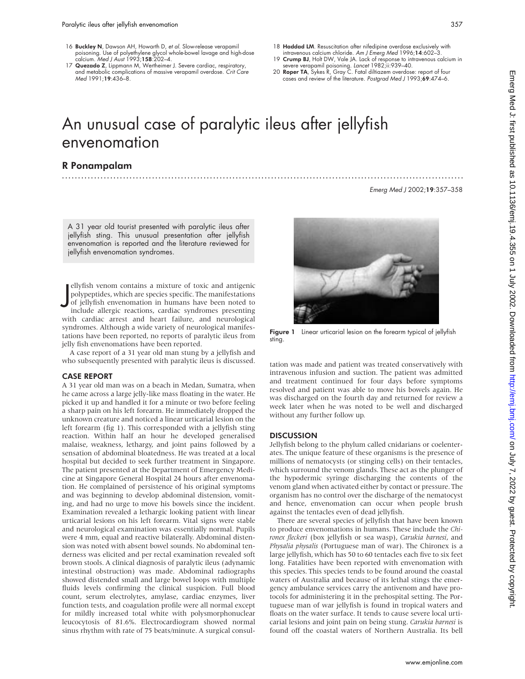- 16 Buckley N, Dawson AH, Howarth D, et al. Slow-release verapamil poisoning. Use of polyethylene glycol whole-bowel lavage and high-dose calcium. Med J Aust 1993;158:202–4.
- 17 Quezado Z, Lippmann M, Wertheimer J. Severe cardiac, respiratory, and metabolic complications of massive verapamil overdose. Crit Care Med 1991;19:436–8.
- 18 Haddad LM. Resuscitation after nifedipine overdose exclusively with intravenous calcium chloride. Am J Emerg Med 1996;14:602–3.
- 19 Crump BJ, Holt DW, Vale JA. Lack of response to intravenous calcium in
- severe verapamil poisoning. Lancet 1982;ii:939–40. 20 Roper TA, Sykes R, Gray C. Fatal diltiazem overdose: report of four cases and review of the literature. Postgrad Med J 1993;69:474–6.

# An unusual case of paralytic ileus after jellyfish envenomation

.............................................................................................................................

# R Ponampalam

Emerg Med J 2002;19:357–358

A 31 year old tourist presented with paralytic ileus after jellyfish sting. This unusual presentation after jellyfish envenomation is reported and the literature reviewed for jellyfish envenomation syndromes.

J ellyfish venom contains a mixture of toxic and antigenic polypeptides, which are species specific. The manifestations of jellyfish envenomation in humans have been noted to include allergic reactions, cardiac syndromes presenting with cardiac arrest and heart failure, and neurological syndromes. Although a wide variety of neurological manifestations have been reported, no reports of paralytic ileus from jelly fish envenomations have been reported.

A case report of a 31 year old man stung by a jellyfish and who subsequently presented with paralytic ileus is discussed.

#### CASE REPORT

A 31 year old man was on a beach in Medan, Sumatra, when he came across a large jelly-like mass floating in the water. He picked it up and handled it for a minute or two before feeling a sharp pain on his left forearm. He immediately dropped the unknown creature and noticed a linear urticarial lesion on the left forearm (fig 1). This corresponded with a jellyfish sting reaction. Within half an hour he developed generalised malaise, weakness, lethargy, and joint pains followed by a sensation of abdominal bloatedness. He was treated at a local hospital but decided to seek further treatment in Singapore. The patient presented at the Department of Emergency Medicine at Singapore General Hospital 24 hours after envenomation. He complained of persistence of his original symptoms and was beginning to develop abdominal distension, vomiting, and had no urge to move his bowels since the incident. Examination revealed a lethargic looking patient with linear urticarial lesions on his left forearm. Vital signs were stable and neurological examination was essentially normal. Pupils were 4 mm, equal and reactive bilaterally. Abdominal distension was noted with absent bowel sounds. No abdominal tenderness was elicited and per rectal examination revealed soft brown stools. A clinical diagnosis of paralytic ileus (adynamic intestinal obstruction) was made. Abdominal radiographs showed distended small and large bowel loops with multiple fluids levels confirming the clinical suspicion. Full blood count, serum electrolytes, amylase, cardiac enzymes, liver function tests, and coagulation profile were all normal except for mildly increased total white with polysmorphonuclear leucocytosis of 81.6%. Electrocardiogram showed normal sinus rhythm with rate of 75 beats/minute. A surgical consul-



**Figure 1** Linear urticarial lesion on the forearm typical of jellyfish sting.

tation was made and patient was treated conservatively with intravenous infusion and suction. The patient was admitted and treatment continued for four days before symptoms resolved and patient was able to move his bowels again. He was discharged on the fourth day and returned for review a week later when he was noted to be well and discharged without any further follow up.

#### DISCUSSION

Jellyfish belong to the phylum called cnidarians or coelenterates. The unique feature of these organisms is the presence of millions of nematocysts (or stinging cells) on their tentacles, which surround the venom glands. These act as the plunger of the hypodermic syringe discharging the contents of the venom gland when activated either by contact or pressure. The organism has no control over the discharge of the nematocyst and hence, envenomation can occur when people brush against the tentacles even of dead jellyfish.

There are several species of jellyfish that have been known to produce envenomations in humans. These include the *Chironex fleckeri* (box jellyfish or sea wasp), *Carukia barnesi*, and *Physalia physalis* (Portuguese man of war). The Chironex is a large jellyfish, which has 50 to 60 tentacles each five to six feet long. Fatalities have been reported with envenomation with this species. This species tends to be found around the coastal waters of Australia and because of its lethal stings the emergency ambulance services carry the antivenom and have protocols for administering it in the prehospital setting. The Portuguese man of war jellyfish is found in tropical waters and floats on the water surface. It tends to cause severe local urticarial lesions and joint pain on being stung. *Carukia barnesi* is found off the coastal waters of Northern Australia. Its bell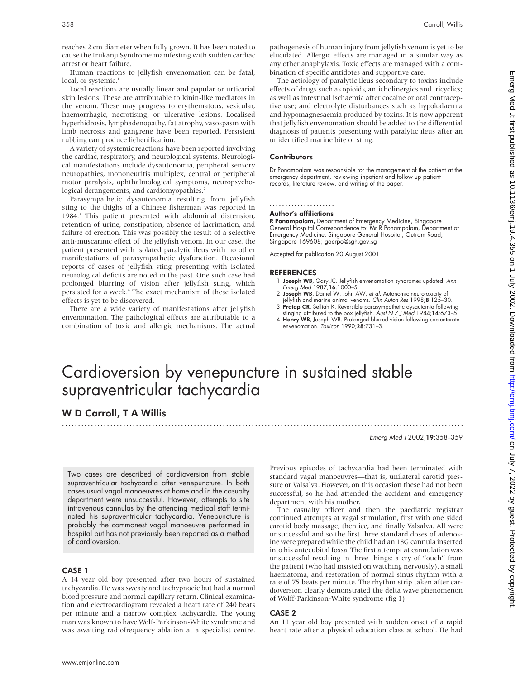reaches 2 cm diameter when fully grown. It has been noted to cause the Irukanji Syndrome manifesting with sudden cardiac arrest or heart failure.

Human reactions to jellyfish envenomation can be fatal, local, or systemic.<sup>1</sup>

Local reactions are usually linear and papular or urticarial skin lesions. These are attributable to kinin-like mediators in the venom. These may progress to erythematous, vesicular, haemorrhagic, necrotising, or ulcerative lesions. Localised hyperhidrosis, lymphadenopathy, fat atrophy, vasospasm with limb necrosis and gangrene have been reported. Persistent rubbing can produce lichenification.

A variety of systemic reactions have been reported involving the cardiac, respiratory, and neurological systems. Neurological manifestations include dysautonomia, peripheral sensory neuropathies, mononeuritis multiplex, central or peripheral motor paralysis, ophthalmological symptoms, neuropsychological derangements, and cardiomyopathies.<sup>2</sup>

Parasympathetic dysautonomia resulting from jellyfish sting to the thighs of a Chinese fisherman was reported in 1984.3 This patient presented with abdominal distension, retention of urine, constipation, absence of lacrimation, and failure of erection. This was possibly the result of a selective anti-muscarinic effect of the jellyfish venom. In our case, the patient presented with isolated paralytic ileus with no other manifestations of parasympathetic dysfunction. Occasional reports of cases of jellyfish sting presenting with isolated neurological deficits are noted in the past. One such case had prolonged blurring of vision after jellyfish sting, which persisted for a week.<sup>4</sup> The exact mechanism of these isolated effects is yet to be discovered.

There are a wide variety of manifestations after jellyfish envenomation. The pathological effects are attributable to a combination of toxic and allergic mechanisms. The actual pathogenesis of human injury from jellyfish venom is yet to be elucidated. Allergic effects are managed in a similar way as any other anaphylaxis. Toxic effects are managed with a combination of specific antidotes and supportive care.

The aetiology of paralytic ileus secondary to toxins include effects of drugs such as opioids, anticholinergics and tricyclics; as well as intestinal ischaemia after cocaine or oral contraceptive use; and electrolyte disturbances such as hypokalaemia and hypomagnesaemia produced by toxins. It is now apparent that jellyfish envenomation should be added to the differential diagnosis of patients presenting with paralytic ileus after an unidentified marine bite or sting.

#### **Contributors**

Dr Ponampalam was responsible for the management of the patient at the emergency department, reviewing inpatient and follow up patient records, literature review, and writing of the paper.

#### .....................

#### Author's affiliations

R Ponampalam, Department of Emergency Medicine, Singapore General Hospital Correspondence to: Mr R Ponampalam, Department of Emergency Medicine, Singapore General Hospital, Outram Road, Singapore 169608; gaerpo@sgh.gov.sg

Accepted for publication 20 August 2001

#### **REFERENCES**

- 1 Joseph WB, Gary JC. Jellyfish envenomation syndromes updated. Ann Emerg Med 1987;16:1000–5.
- 2 Joseph WB, Daniel W, John AW, et al. Autonomic neurotoxicity of jellyfish and marine animal venoms. Clin Auton Res 1998;8:125–30.
- 3 P**ratap CR**, Selliah K. Reversible parasympathetic dysautomia following<br>stinging attributed to the box jellyfish. *Aust N Z J Med* 1984;**14**:673–5.<br>4 **Henry WB**, Joseph WB. Prolonged blurred vision following coelenterate
- envenomation. Toxicon 1990;28:731–3.

# Cardioversion by venepuncture in sustained stable supraventricular tachycardia

.............................................................................................................................

# W D Carroll, T A Willis

Emerg Med J 2002;19:358–359

Two cases are described of cardioversion from stable supraventricular tachycardia after venepuncture. In both cases usual vagal manoeuvres at home and in the casualty department were unsuccessful. However, attempts to site intravenous cannulas by the attending medical staff terminated his supraventricular tachycardia. Venepuncture is probably the commonest vagal manoeuvre performed in hospital but has not previously been reported as a method of cardioversion.

## CASE 1

A 14 year old boy presented after two hours of sustained tachycardia. He was sweaty and tachypnoeic but had a normal blood pressure and normal capillary return. Clinical examination and electrocardiogram revealed a heart rate of 240 beats per minute and a narrow complex tachycardia. The young man was known to have Wolf-Parkinson-White syndrome and was awaiting radiofrequency ablation at a specialist centre.

Previous episodes of tachycardia had been terminated with standard vagal manoeuvres—that is, unilateral carotid pressure or Valsalva. However, on this occasion these had not been successful, so he had attended the accident and emergency department with his mother.

The casualty officer and then the paediatric registrar continued attempts at vagal stimulation, first with one sided carotid body massage, then ice, and finally Valsalva. All were unsuccessful and so the first three standard doses of adenosine were prepared while the child had an 18G cannula inserted into his antecubital fossa. The first attempt at cannulation was unsuccessful resulting in three things: a cry of "ouch" from the patient (who had insisted on watching nervously), a small haematoma, and restoration of normal sinus rhythm with a rate of 75 beats per minute. The rhythm strip taken after cardioversion clearly demonstrated the delta wave phenomenon of Wolff-Parkinson-White syndrome (fig 1).

## CASE 2

An 11 year old boy presented with sudden onset of a rapid heart rate after a physical education class at school. He had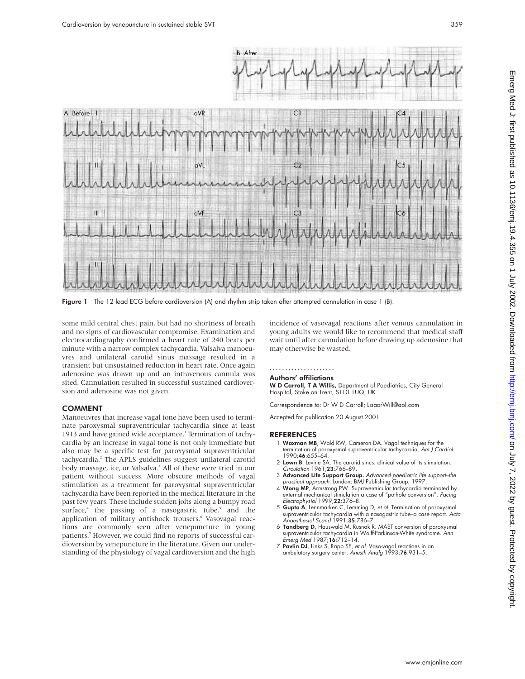

Figure 1 The 12 lead ECG before cardioversion (A) and rhythm strip taken after attempted cannulation in case 1 (B).

some mild central chest pain, but had no shortness of breath and no signs of cardiovascular compromise. Examination and electrocardiography confirmed a heart rate of 240 beats per minute with a narrow complex tachycardia. Valsalva manoeuvres and unilateral carotid sinus massage resulted in a transient but unsustained reduction in heart rate. Once again adenosine was drawn up and an intravenous cannula was sited. Cannulation resulted in successful sustained cardioversion and adenosine was not given.

#### COMMENT

Manoeuvres that increase vagal tone have been used to terminate paroxysmal supraventricular tachycardia since at least 1913 and have gained wide acceptance.<sup>1</sup> Termination of tachycardia by an increase in vagal tone is not only immediate but also may be a specific test for paroxysmal supraventricular tachycardia.2 The APLS guidelines suggest unilateral carotid body massage, ice, or Valsalva.<sup>3</sup> All of these were tried in our patient without success. More obscure methods of vagal stimulation as a treatment for paroxysmal supraventricular tachycardia have been reported in the medical literature in the past few years. These include sudden jolts along a bumpy road surface, $4$  the passing of a nasogastric tube, $5$  and the application of military antishock trousers.<sup>6</sup> Vasovagal reactions are commonly seen after venepuncture in young patients.<sup>7</sup> However, we could find no reports of successful cardioversion by venepuncture in the literature. Given our understanding of the physiology of vagal cardioversion and the high

incidence of vasovagal reactions after venous cannulation in young adults we would like to recommend that medical staff wait until after cannulation before drawing up adenosine that may otherwise be wasted.

## .....................

## Authors' affiliations

W D Carroll, T A Willis, Department of Paediatrics, City General Hospital, Stoke on Trent, ST10 1UQ, UK

Correspondence to: Dr W D Carroll; LisaorWill@aol.com

Accepted for publication 20 August 2001

- 1 Waxman MB, Wald RW, Cameron DA. Vagal techniques for the termination of paroxysmal supraventricular tachycardia. Am J Cardiol 1990;46:655–64.
- 2 Lown B, Levine SA. The carotid sinus: clinical value of its stimulation. Circulation 1961;23:766–89.
- 3 Advanced Life Support Group. Advanced paediatric life support-the
- practical approach. London: BMJ Publishing Group, 1997. 4 Wong MP, Armstrong PW. Supraventricular tachycardia terminated by external mechanical stimulation a case of "pothole conversion". Pacing Electrophysiol 1999;22:376–8.
- 5 Gupta A, Lennmarken C, Lemming D, et al. Termination of paroxysmal supraventricular tachycardia with a nasogastric tube–a case report. Acta Anaesthesiol Scand 1991;35:786-7
- 6 Tandberg D, Hauswald M, Rusnak R. MAST conversion of paroxysmal supraventricular tachycardia in Wolff-Parkinson-White syndrome. Ann Emerg Med 1987;16:712–14.
- 7 Pavlin DJ, Links S, Rapp SE, et al. Vaso-vagal reactions in an ambulatory surgery center. Anesth Analg 1993;76:931–5.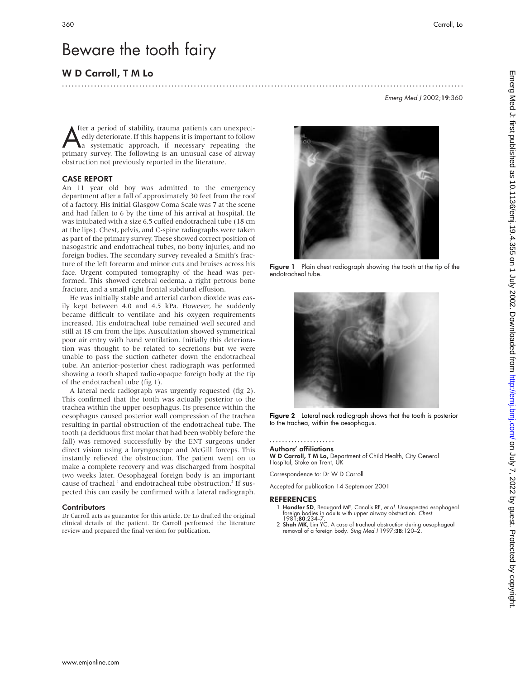Emerg Med J 2002;19:360

# Beware the tooth fairy

# W D Carroll, T M Lo

A ther a period of stability, trauma patients can unexpectedly deteriorate. If this happens it is important to follow a systematic approach, if necessary repeating the primary survey. The following is an unusual case of ai fter a period of stability, trauma patients can unexpectedly deteriorate. If this happens it is important to follow a systematic approach, if necessary repeating the obstruction not previously reported in the literature.

#### CASE REPORT

An 11 year old boy was admitted to the emergency department after a fall of approximately 30 feet from the roof of a factory. His initial Glasgow Coma Scale was 7 at the scene and had fallen to 6 by the time of his arrival at hospital. He was intubated with a size 6.5 cuffed endotracheal tube (18 cm at the lips). Chest, pelvis, and C-spine radiographs were taken as part of the primary survey. These showed correct position of nasogastric and endotracheal tubes, no bony injuries, and no foreign bodies. The secondary survey revealed a Smith's fracture of the left forearm and minor cuts and bruises across his face. Urgent computed tomography of the head was performed. This showed cerebral oedema, a right petrous bone fracture, and a small right frontal subdural effusion.

He was initially stable and arterial carbon dioxide was easily kept between 4.0 and 4.5 kPa. However, he suddenly became difficult to ventilate and his oxygen requirements increased. His endotracheal tube remained well secured and still at 18 cm from the lips. Auscultation showed symmetrical poor air entry with hand ventilation. Initially this deterioration was thought to be related to secretions but we were unable to pass the suction catheter down the endotracheal tube. An anterior-posterior chest radiograph was performed showing a tooth shaped radio-opaque foreign body at the tip of the endotracheal tube (fig 1).

A lateral neck radiograph was urgently requested (fig 2). This confirmed that the tooth was actually posterior to the trachea within the upper oesophagus. Its presence within the oesophagus caused posterior wall compression of the trachea resulting in partial obstruction of the endotracheal tube. The tooth (a deciduous first molar that had been wobbly before the fall) was removed successfully by the ENT surgeons under direct vision using a laryngoscope and McGill forceps. This instantly relieved the obstruction. The patient went on to make a complete recovery and was discharged from hospital two weeks later. Oesophageal foreign body is an important cause of tracheal <sup>1</sup> and endotracheal tube obstruction.<sup>2</sup> If suspected this can easily be confirmed with a lateral radiograph.

#### **Contributors**

Dr Carroll acts as guarantor for this article. Dr Lo drafted the original clinical details of the patient. Dr Carroll performed the literature review and prepared the final version for publication.



.............................................................................................................................

Figure 1 Plain chest radiograph showing the tooth at the tip of the endotracheal tube.



Figure 2 Lateral neck radiograph shows that the tooth is posterior to the trachea, within the oesophagus.

#### ..................... Authors' affiliations

W D Carroll, T M Lo, Department of Child Health, City General Hospital, Stoke on Trent, UK

Correspondence to: Dr W D Carroll

Accepted for publication 14 September 2001

- Handler SD, Beaugard ME, Canalis RF, et al. Unsuspected esophageal foreign bodies in adults with upper airway obstruction. *Chest*<br>1981;**80**:234–7.
- 2 Shah MK, Lim YC. A case of tracheal obstruction during oesophageal removal of a foreign body. Sing Med J 1997;38:120-2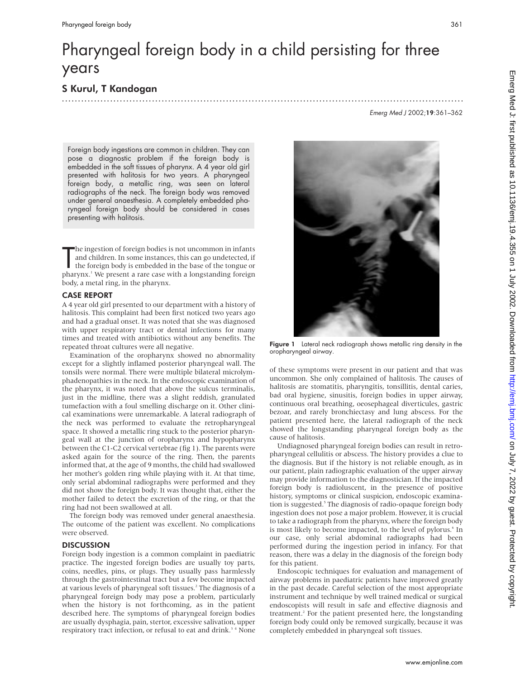# Pharyngeal foreign body in a child persisting for three years

S Kurul, T Kandogan .............................................................................................................................

Emerg Med J 2002;19:361–362

Foreign body ingestions are common in children. They can pose a diagnostic problem if the foreign body is embedded in the soft tissues of pharynx. A 4 year old girl presented with halitosis for two years. A pharyngeal foreign body, a metallic ring, was seen on lateral radiographs of the neck. The foreign body was removed under general anaesthesia. A completely embedded pharyngeal foreign body should be considered in cases presenting with halitosis.

The ingestion of foreign bodies is not uncommon in infants<br>and children. In some instances, this can go undetected, if<br>the foreign body is embedded in the base of the tongue or<br>pharynx.<sup>1</sup> We present a rare case with a lon he ingestion of foreign bodies is not uncommon in infants and children. In some instances, this can go undetected, if the foreign body is embedded in the base of the tongue or body, a metal ring, in the pharynx.

## CASE REPORT

A 4 year old girl presented to our department with a history of halitosis. This complaint had been first noticed two years ago and had a gradual onset. It was noted that she was diagnosed with upper respiratory tract or dental infections for many times and treated with antibiotics without any benefits. The repeated throat cultures were all negative.

Examination of the oropharynx showed no abnormality except for a slightly inflamed posterior pharyngeal wall. The tonsils were normal. There were multiple bilateral microlymphadenopathies in the neck. In the endoscopic examination of the pharynx, it was noted that above the sulcus terminalis, just in the midline, there was a slight reddish, granulated tumefaction with a foul smelling discharge on it. Other clinical examinations were unremarkable. A lateral radiograph of the neck was performed to evaluate the retropharyngeal space. It showed a metallic ring stuck to the posterior pharyngeal wall at the junction of oropharynx and hypopharynx between the C1-C2 cervical vertebrae (fig 1). The parents were asked again for the source of the ring. Then, the parents informed that, at the age of 9 months, the child had swallowed her mother's golden ring while playing with it. At that time, only serial abdominal radiographs were performed and they did not show the foreign body. It was thought that, either the mother failed to detect the excretion of the ring, or that the ring had not been swallowed at all.

The foreign body was removed under general anaesthesia. The outcome of the patient was excellent. No complications were observed.

## **DISCUSSION**

Foreign body ingestion is a common complaint in paediatric practice. The ingested foreign bodies are usually toy parts, coins, needles, pins, or plugs. They usually pass harmlessly through the gastrointestinal tract but a few become impacted at various levels of pharyngeal soft tissues.<sup>2</sup> The diagnosis of a pharyngeal foreign body may pose a problem, particularly when the history is not forthcoming, as in the patient described here. The symptoms of pharyngeal foreign bodies are usually dysphagia, pain, stertor, excessive salivation, upper respiratory tract infection, or refusal to eat and drink.<sup>34</sup> None



Figure 1 Lateral neck radiograph shows metallic ring density in the oropharyngeal airway.

of these symptoms were present in our patient and that was uncommon. She only complained of halitosis. The causes of halitosis are stomatitis, pharyngitis, tonsillitis, dental caries, bad oral hygiene, sinusitis, foreign bodies in upper airway, continuous oral breathing, oeosephageal diverticules, gastric bezoar, and rarely bronchiectasy and lung abscess. For the patient presented here, the lateral radiograph of the neck showed the longstanding pharyngeal foreign body as the cause of halitosis.

Undiagnosed pharyngeal foreign bodies can result in retropharyngeal cellulitis or abscess. The history provides a clue to the diagnosis. But if the history is not reliable enough, as in our patient, plain radiographic evaluation of the upper airway may provide information to the diagnostician. If the impacted foreign body is radioluscent, in the presence of positive history, symptoms or clinical suspicion, endoscopic examination is suggested.<sup>5</sup> The diagnosis of radio-opaque foreign body ingestion does not pose a major problem. However, it is crucial to take a radiograph from the pharynx, where the foreign body is most likely to become impacted, to the level of pylorus.<sup>6</sup> In our case, only serial abdominal radiographs had been performed during the ingestion period in infancy. For that reason, there was a delay in the diagnosis of the foreign body for this patient.

Endoscopic techniques for evaluation and management of airway problems in paediatric patients have improved greatly in the past decade. Careful selection of the most appropriate instrument and technique by well trained medical or surgical endoscopists will result in safe and effective diagnosis and treatment.<sup>2</sup> For the patient presented here, the longstanding foreign body could only be removed surgically, because it was completely embedded in pharyngeal soft tissues.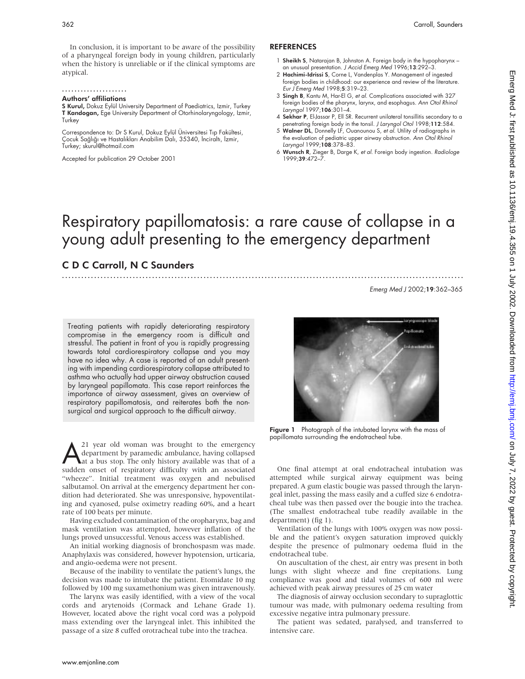In conclusion, it is important to be aware of the possibility of a pharyngeal foreign body in young children, particularly when the history is unreliable or if the clinical symptoms are atypical.

.....................

## Authors' affiliations

S Kurul, Dokuz Eylül University Department of Paediatrics, Izmir, Turkey T Kandogan, Ege University Department of Otorhinolaryngology, Izmir, Turkey

Correspondence to: Dr S Kurul, Dokuz Eylül Üniversitesi Tıp Fakültesi, Çocuk Sağlığı ve Hastalıkları Anabilim Dalı, 35340, İnciraltı, İzmir, Turkey; skurul@hotmail.com

Accepted for publication 29 October 2001

#### REFERENCES

- 1 Sheikh S, Natarajan B, Johnston A. Foreign body in the hypopharynx an unusual presentation. J Accid Emerg Med 1996;13:292–3.
- 2 Hachimi-Idrissi S, Corne L, Vandenplas Y. Management of ingested foreign bodies in childhood: our experience and review of the literature. Eur J Emerg Med 1998;5:319–23.
- 3 Singh B, Kantu M, Har-El G, et al. Complications associated with 327 foreign bodies of the pharynx, larynx, and esophagus. Ann Otol Rhinol Laryngol 1997;106:301–4.
- 4 Sekhar P, El-Jassar P, Ell SR. Recurrent unilateral tonsillitis secondary to a penetrating foreign body in the tonsil. J Laryngol Otol 1998;112:584.
- 5 Walner DL, Donnelly LF, Ouanounou S, et al. Utility of radiographs in the evaluation of pediatric upper airway obstruction. Ann Otol Rhinol Laryngol 1999;108:378–83.
- 6 Wunsch R, Zieger B, Darge K, et al. Foreign body ingestion. Radiologe 1999;39:472–7.

# Respiratory papillomatosis: a rare cause of collapse in a young adult presenting to the emergency department

.............................................................................................................................

# C D C Carroll, N C Saunders

Emerg Med J 2002;19:362–365

Treating patients with rapidly deteriorating respiratory compromise in the emergency room is difficult and stressful. The patient in front of you is rapidly progressing towards total cardiorespiratory collapse and you may have no idea why. A case is reported of an adult presenting with impending cardiorespiratory collapse attributed to asthma who actually had upper airway obstruction caused by laryngeal papillomata. This case report reinforces the importance of airway assessment, gives an overview of respiratory papillomatosis, and reiterates both the nonsurgical and surgical approach to the difficult airway.

 $\sum_{\text{department}}$  and woman was brought to the emergency department by paramedic ambulance, having collapsed at a bus stop. The only history available was that of a sudden onset of respiratory difficulty with an associated department by paramedic ambulance, having collapsed at a bus stop. The only history available was that of a sudden onset of respiratory difficulty with an associated "wheeze". Initial treatment was oxygen and nebulised salbutamol. On arrival at the emergency department her condition had deteriorated. She was unresponsive, hypoventilating and cyanosed, pulse oximetry reading 60%, and a heart rate of 100 beats per minute.

Having excluded contamination of the oropharynx, bag and mask ventilation was attempted, however inflation of the lungs proved unsuccessful. Venous access was established.

An initial working diagnosis of bronchospasm was made. Anaphylaxis was considered, however hypotension, urticaria, and angio-oedema were not present.

Because of the inability to ventilate the patient's lungs, the decision was made to intubate the patient. Etomidate 10 mg followed by 100 mg suxamethonium was given intravenously.

The larynx was easily identified, with a view of the vocal cords and arytenoids (Cormack and Lehane Grade 1). However, located above the right vocal cord was a polypoid mass extending over the laryngeal inlet. This inhibited the passage of a size 8 cuffed orotracheal tube into the trachea.



Figure 1 Photograph of the intubated larynx with the mass of papillomata surrounding the endotracheal tube.

One final attempt at oral endotracheal intubation was attempted while surgical airway equipment was being prepared. A gum elastic bougie was passed through the laryngeal inlet, passing the mass easily and a cuffed size 6 endotracheal tube was then passed over the bougie into the trachea. (The smallest endotracheal tube readily available in the department) (fig 1).

Ventilation of the lungs with 100% oxygen was now possible and the patient's oxygen saturation improved quickly despite the presence of pulmonary oedema fluid in the endotracheal tube.

On auscultation of the chest, air entry was present in both lungs with slight wheeze and fine crepitations. Lung compliance was good and tidal volumes of 600 ml were achieved with peak airway pressures of 25 cm water

The diagnosis of airway occlusion secondary to supraglottic tumour was made, with pulmonary oedema resulting from excessive negative intra pulmonary pressure.

The patient was sedated, paralysed, and transferred to intensive care.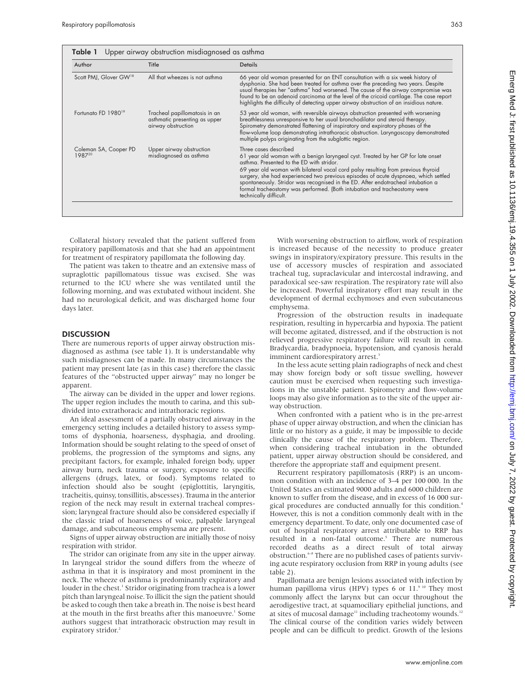| Author                             | Title                                                                                | <b>Details</b>                                                                                                                                                                                                                                                                                                                                                                                                                                                                                                                |
|------------------------------------|--------------------------------------------------------------------------------------|-------------------------------------------------------------------------------------------------------------------------------------------------------------------------------------------------------------------------------------------------------------------------------------------------------------------------------------------------------------------------------------------------------------------------------------------------------------------------------------------------------------------------------|
| Scott PMJ, Glover GW <sup>18</sup> | All that wheezes is not asthma                                                       | 66 year old woman presented for an ENT consultation with a six week history of<br>dysphonia. She had been treated for asthma over the preceding two years. Despite<br>usual therapies her "asthma" had worsened. The cause of the airway compromise was<br>found to be an adenoid carcinoma at the level of the cricoid cartilage. The case report<br>highlights the difficulty of detecting upper airway obstruction of an insidious nature.                                                                                 |
| Fortungto FD 1980 <sup>19</sup>    | Tracheal papillomatosis in an<br>asthmatic presenting as upper<br>airway obstruction | 53 year old woman, with reversible airways obstruction presented with worsening<br>breathlessness unresponsive to her usual bronchodilator and steroid therapy.<br>Spirometry demonstrated flattening of inspiratory and expiratory phases of the<br>flow-volume loop demonstrating intrathoracic obstruction. Laryngoscopy demonstrated<br>multiple polyps originating from the subglottic region.                                                                                                                           |
| Coleman SA, Cooper PD<br>198720    | Upper airway obstruction<br>misdiagnosed as asthma                                   | Three cases described<br>61 year old woman with a benign laryngeal cyst. Treated by her GP for late onset<br>asthma. Presented to the ED with stridor.<br>69 year old woman with bilateral vocal cord palsy resulting from previous thyroid<br>surgery, she had experienced two previous episodes of acute dyspnoea, which settled<br>spontaneously. Stridor was recognised in the ED. After endotracheal intubation a<br>formal tracheostomy was performed. (Both intubation and tracheostomy were<br>technically difficult. |

Collateral history revealed that the patient suffered from respiratory papillomatosis and that she had an appointment for treatment of respiratory papillomata the following day.

The patient was taken to theatre and an extensive mass of supraglottic papillomatous tissue was excised. She was returned to the ICU where she was ventilated until the following morning, and was extubated without incident. She had no neurological deficit, and was discharged home four days later.

#### **DISCUSSION**

There are numerous reports of upper airway obstruction misdiagnosed as asthma (see table 1). It is understandable why such misdiagnoses can be made. In many circumstances the patient may present late (as in this case) therefore the classic features of the "obstructed upper airway" may no longer be apparent.

The airway can be divided in the upper and lower regions. The upper region includes the mouth to carina, and this subdivided into extrathoracic and intrathoracic regions.

An ideal assessment of a partially obstructed airway in the emergency setting includes a detailed history to assess symptoms of dysphonia, hoarseness, dysphagia, and drooling. Information should be sought relating to the speed of onset of problems, the progression of the symptoms and signs, any precipitant factors, for example, inhaled foreign body, upper airway burn, neck trauma or surgery, exposure to specific allergens (drugs, latex, or food). Symptoms related to infection should also be sought (epiglottitis, laryngitis, tracheitis, quinsy, tonsillitis, abscesses). Trauma in the anterior region of the neck may result in external tracheal compression; laryngeal fracture should also be considered especially if the classic triad of hoarseness of voice, palpable laryngeal damage, and subcutaneous emphysema are present.

Signs of upper airway obstruction are initially those of noisy respiration with stridor.

The stridor can originate from any site in the upper airway. In laryngeal stridor the sound differs from the wheeze of asthma in that it is inspiratory and most prominent in the neck. The wheeze of asthma is predominantly expiratory and louder in the chest.<sup>1</sup> Stridor originating from trachea is a lower pitch than laryngeal noise. To illicit the sign the patient should be asked to cough then take a breath in. The noise is best heard at the mouth in the first breaths after this manoeuvre.<sup>1</sup> Some authors suggest that intrathoracic obstruction may result in expiratory stridor.<sup>2</sup>

With worsening obstruction to airflow, work of respiration is increased because of the necessity to produce greater swings in inspiratory/expiratory pressure. This results in the use of accessory muscles of respiration and associated tracheal tug, supraclavicular and intercostal indrawing, and paradoxical see-saw respiration. The respiratory rate will also be increased. Powerful inspiratory effort may result in the development of dermal ecchymoses and even subcutaneous emphysema.

Progression of the obstruction results in inadequate respiration, resulting in hypercarbia and hypoxia. The patient will become agitated, distressed, and if the obstruction is not relieved progressive respiratory failure will result in coma. Bradycardia, bradypnoeia, hypotension, and cyanosis herald imminent cardiorespiratory arrest.<sup>3</sup>

In the less acute setting plain radiographs of neck and chest may show foreign body or soft tissue swelling, however caution must be exercised when requesting such investigations in the unstable patient. Spirometry and flow-volume loops may also give information as to the site of the upper airway obstruction.

When confronted with a patient who is in the pre-arrest phase of upper airway obstruction, and when the clinician has little or no history as a guide, it may be impossible to decide clinically the cause of the respiratory problem. Therefore, when considering tracheal intubation in the obtunded patient, upper airway obstruction should be considered, and therefore the appropriate staff and equipment present.

Recurrent respiratory papillomatosis (RRP) is an uncommon condition with an incidence of 3–4 per 100 000. In the United States an estimated 9000 adults and 6000 children are known to suffer from the disease, and in excess of 16 000 surgical procedures are conducted annually for this condition.<sup>4</sup> However, this is not a condition commonly dealt with in the emergency department. To date, only one documented case of out of hospital respiratory arrest attributable to RRP has resulted in a non-fatal outcome.<sup>5</sup> There are numerous recorded deaths as a direct result of total airway obstruction. $6-8$  There are no published cases of patients surviving acute respiratory occlusion from RRP in young adults (see table 2).

Papillomata are benign lesions associated with infection by human papilloma virus (HPV) types 6 or 11.<sup>9 10</sup> They most commonly affect the larynx but can occur throughout the aerodigestive tract, at squamociliary epithelial junctions, and at sites of mucosal damage<sup>11</sup> including tracheotomy wounds.<sup>12</sup> The clinical course of the condition varies widely between people and can be difficult to predict. Growth of the lesions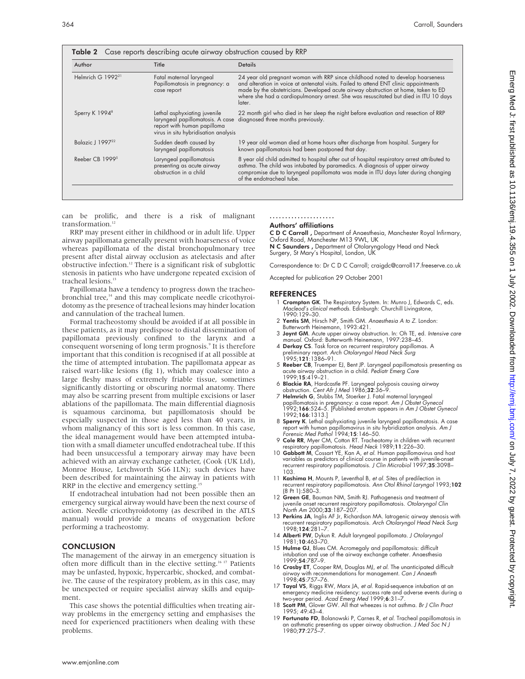| Author                                                                                                          | Title                                                                                                                                   | <b>Details</b>                                                                                                                                                                                                                                                                                                                                                   |  |  |
|-----------------------------------------------------------------------------------------------------------------|-----------------------------------------------------------------------------------------------------------------------------------------|------------------------------------------------------------------------------------------------------------------------------------------------------------------------------------------------------------------------------------------------------------------------------------------------------------------------------------------------------------------|--|--|
| Helmrich G 1992 <sup>21</sup>                                                                                   | Fatal maternal laryngeal<br>Papillomatosis in pregnancy: a<br>case report                                                               | 24 year old pregnant woman with RRP since childhood noted to develop hoarseness<br>and alteration in voice at antenatal visits. Failed to attend ENT clinic appointments<br>made by the obstetricians. Developed acute airway obstruction at home, taken to ED<br>where she had a cardiopulmonary arrest. She was resuscitated but died in ITU 10 days<br>later. |  |  |
| Sperry K 1994 <sup>8</sup>                                                                                      | Lethal asphyxiating juvenile<br>laryngeal papillomatosis. A case<br>report with human papilloma<br>virus in situ hybridisation analysis | 22 month girl who died in her sleep the night before evaluation and resection of RRP<br>diagnosed three months previously.                                                                                                                                                                                                                                       |  |  |
| Balazic J 199722                                                                                                | Sudden death caused by<br>laryngeal papillomatosis                                                                                      | 19 year old woman died at home hours after discharge from hospital. Surgery for<br>known papillomatosis had been postponed that day.                                                                                                                                                                                                                             |  |  |
| Reeber CB 1999 <sup>5</sup><br>Laryngeal papillomatosis<br>presenting as acute airway<br>obstruction in a child |                                                                                                                                         | 8 year old child admitted to hospital after out of hospital respiratory arrest attributed to<br>asthma. The child was intubated by paramedics. A diagnosis of upper airway<br>compromise due to laryngeal papillomata was made in ITU days later during changing<br>of the endotracheal tube.                                                                    |  |  |

can be prolific, and there is a risk of malignant transformation.<sup>12</sup>

RRP may present either in childhood or in adult life. Upper airway papillomata generally present with hoarseness of voice whereas papillomata of the distal bronchopulmonary tree present after distal airway occlusion as atelectasis and after obstructive infection.12 There is a significant risk of subglottic stenosis in patients who have undergone repeated excision of tracheal lesions.<sup>13</sup>

Papillomata have a tendency to progress down the tracheobronchial tree,<sup>14</sup> and this may complicate needle cricothyroidotomy as the presence of tracheal lesions may hinder location and cannulation of the tracheal lumen.

Formal tracheostomy should be avoided if at all possible in these patients, as it may predispose to distal dissemination of papillomata previously confined to the larynx and a consequent worsening of long term prognosis.<sup>9</sup> It is therefore important that this condition is recognised if at all possible at the time of attempted intubation. The papillomata appear as raised wart-like lesions (fig 1), which may coalesce into a large fleshy mass of extremely friable tissue, sometimes significantly distorting or obscuring normal anatomy. There may also be scarring present from multiple excisions or laser ablations of the papillomata. The main differential diagnosis is squamous carcinoma, but papillomatosis should be especially suspected in those aged less than 40 years, in whom malignancy of this sort is less common. In this case, the ideal management would have been attempted intubation with a small diameter uncuffed endotracheal tube. If this had been unsuccessful a temporary airway may have been achieved with an airway exchange catheter, (Cook (UK Ltd), Monroe House, Letchworth SG6 1LN); such devices have been described for maintaining the airway in patients with RRP in the elective and emergency setting.<sup>1</sup>

If endotracheal intubation had not been possible then an emergency surgical airway would have been the next course of action. Needle cricothyroidotomy (as described in the ATLS manual) would provide a means of oxygenation before performing a tracheostomy.

#### **CONCLUSION**

The management of the airway in an emergency situation is often more difficult than in the elective setting.16 17 Patients may be unfasted, hypoxic, hypercarbic, shocked, and combative. The cause of the respiratory problem, as in this case, may be unexpected or require specialist airway skills and equipment.

This case shows the potential difficulties when treating airway problems in the emergency setting and emphasises the need for experienced practitioners when dealing with these problems.

#### ..................... Authors' affiliations

C D C Carroll , Department of Anaesthesia, Manchester Royal Infirmary,

Oxford Road, Manchester M13 9WL, UK N C Saunders , Department of Otolaryngology Head and Neck Surgery, St Mary's Hospital, London, UK

Correspondence to: DrCDC Carroll; craigdc@carroll17.freeserve.co.uk

Accepted for publication 29 October 2001

- 1 Crompton GK. The Respiratory System. In: Munro J, Edwards C, eds. Macleod's clinical methods. Edinburgh: Churchill Livingstone, 1990:129–30.
- 2 Yentis SM, Hirsch NP, Smith GM. Anaesthesia A to Z. London: Butterworth Heinemann, 1993:421.
- 3 Joynt GM. Acute upper airway obstruction. In: Oh TE, ed. Intensive care manual. Oxford: Butterworth Heinemann, 1997:238–45.
- 4 Derkay CS. Task force on recurrent respiratory papillomas. A preliminary report. Arch Otolaryngol Head Neck Surg 1995;121:1386–91.
- 5 Reeber CB, Truemper EJ, Bent JP. Laryngeal papillomatosis presenting as acute airway obstruction in a child. Pediatr Emerg Care 1999;15:419–21.
- 6 Blackie RA, Hardcastle PF. Laryngeal polyposis causing airway obstruction. Cent Afr J Med 1986;32:36–9.
- 7 Helmrich G, Stubbs TM, Stoerker J. Fatal maternal laryngeal papillomatosis in pregnancy: a case report. Am J Obstet Gynecol 1992;166:524-5. [Published erratum appears in Am J Obstet Gynecol 1992;166:1313.]
- 8 Sperry K. Lethal asphyxiating juvenile laryngeal papillomatosis. A case report with human papillomavirus in situ hybridization analysis. *Am J*<br>Forensic Med Pathol 1994;**15**:146–50.
- 9 Cole RR, Myer CM, Cotton RT. Tracheotomy in children with recurrent respiratory papillomatosis. Head Neck 1989;11:226–30.
- 10 Gabbott M, Cossart YE, Kan A, et al. Human papillomavirus and host variables as predictors of clinical course in patients with juvenile-onset recurrent respiratory papillomatosis. J Clin Microbiol 1997;35:3098-103.
- 11 Kashima H, Mounts P, Leventhal B, et al. Sites of predilection in recurrent respiratory papillomatosis. Ann Otol Rhinol Laryngol 1993;102 (8 Pt 1):580–3.
- 12 Green GE, Bauman NM, Smith RJ. Pathogenesis and treatment of juvenile onset recurrent respiratory papillomatosis. Otolaryngol Clin North Am 2000;33:187–207.
- 13 Perkins JA, Inglis AF Jr, Richardson MA. Iatrogenic airway stenosis with recurrent respiratory papillomatosis. Arch Otolaryngol Head Neck Surg 1998;124:281–7.
- 14 Alberti PW, Dykun R. Adult laryngeal papillomata. J Otolaryngol 1981;10:463–70.
- 15 Hulme GJ, Blues CM. Acromegaly and papillomatosis: difficult intubation and use of the airway exchange catheter. Anaesthesia 1999;54:787-9.
- 16 Crosby ET, Cooper RM, Douglas MJ, et al. The unanticipated difficult airway with recommendations for management. Can J Anaesth 1998;45:757–76.
- 17 Tayal VS, Riggs RW, Marx JA, et al. Rapid-sequence intubation at an emergency medicine residency: success rate and adverse events during a two-year period. Acad Emerg Med 1999;6:31–7.
- 18 Scott PM, Glover GW. All that wheezes is not asthma. Br J Clin Pract 1995; 49:43–4.
- 19 Fortunato FD, Bolanowski P, Carnes R, et al. Tracheal papillomatosis in an asthmatic presenting as upper airway obstruction. J Med Soc N J 1980;77:275–7.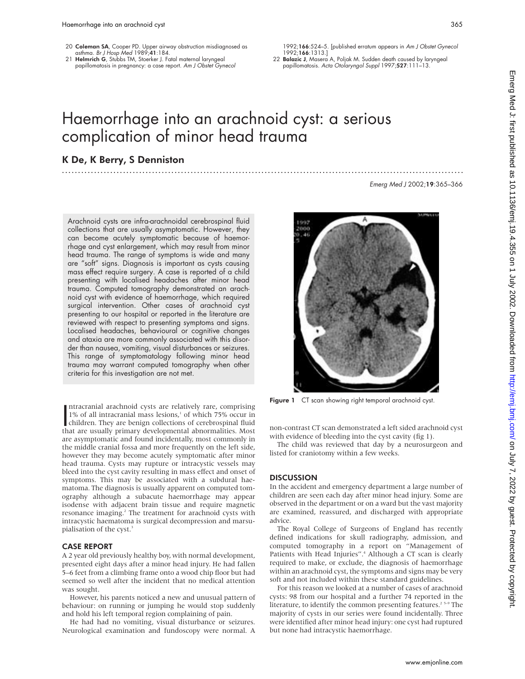- 20 Coleman SA, Cooper PD. Upper airway obstruction misdiagnosed as asthma. Br J Hosp Med 1989;41:184.
- 21 Helmrich G, Stubbs TM, Stoerker J. Fatal maternal laryngeal papillomatosis in pregnancy: a case report. Am J Obstet Gynecol

1992;166:524–5. [published erratum appears in Am J Obstet Gynecol 1992;166:1313.]

22 Balazic J, Masera A, Poljak M. Sudden death caused by laryngeal papillomatosis. Acta Otolaryngol Suppl 1997;527:111–13.

# Haemorrhage into an arachnoid cyst: a serious complication of minor head trauma

.............................................................................................................................

# K De, K Berry, S Denniston

Emerg Med J 2002;19:365–366

Arachnoid cysts are infra-arachnoidal cerebrospinal fluid collections that are usually asymptomatic. However, they can become acutely symptomatic because of haemorrhage and cyst enlargement, which may result from minor head trauma. The range of symptoms is wide and many are "soft" signs. Diagnosis is important as cysts causing mass effect require surgery. A case is reported of a child presenting with localised headaches after minor head trauma. Computed tomography demonstrated an arachnoid cyst with evidence of haemorrhage, which required surgical intervention. Other cases of arachnoid cyst presenting to our hospital or reported in the literature are reviewed with respect to presenting symptoms and signs. Localised headaches, behavioural or cognitive changes and ataxia are more commonly associated with this disorder than nausea, vomiting, visual disturbances or seizures. This range of symptomatology following minor head trauma may warrant computed tomography when other criteria for this investigation are not met.

Intracranial arachnoid cysts are relatively rare, comprising<br>1% of all intracranial mass lesions,<sup>1</sup> of which 75% occur in<br>children. They are benign collections of cerebrospinal fluid<br>that are usually primary developmental ntracranial arachnoid cysts are relatively rare, comprising 1% of all intracranial mass lesions,<sup>1</sup> of which 75% occur in that are usually primary developmental abnormalities. Most are asymptomatic and found incidentally, most commonly in the middle cranial fossa and more frequently on the left side, however they may become acutely symptomatic after minor head trauma. Cysts may rupture or intracystic vessels may bleed into the cyst cavity resulting in mass effect and onset of symptoms. This may be associated with a subdural haematoma. The diagnosis is usually apparent on computed tomography although a subacute haemorrhage may appear isodense with adjacent brain tissue and require magnetic resonance imaging.<sup>2</sup> The treatment for arachnoid cysts with intracystic haematoma is surgical decompression and marsupialisation of the cyst.<sup>3</sup>

#### CASE REPORT

A 2 year old previously healthy boy, with normal development, presented eight days after a minor head injury. He had fallen 5–6 feet from a climbing frame onto a wood chip floor but had seemed so well after the incident that no medical attention was sought.

However, his parents noticed a new and unusual pattern of behaviour: on running or jumping he would stop suddenly and hold his left temporal region complaining of pain.

He had had no vomiting, visual disturbance or seizures. Neurological examination and fundoscopy were normal. A

992

Figure 1 CT scan showing right temporal arachnoid cyst.

non-contrast CT scan demonstrated a left sided arachnoid cyst with evidence of bleeding into the cyst cavity (fig 1).

The child was reviewed that day by a neurosurgeon and listed for craniotomy within a few weeks.

#### **DISCUSSION**

In the accident and emergency department a large number of children are seen each day after minor head injury. Some are observed in the department or on a ward but the vast majority are examined, reassured, and discharged with appropriate advice.

The Royal College of Surgeons of England has recently defined indications for skull radiography, admission, and computed tomography in a report on "Management of Patients with Head Injuries".<sup>4</sup> Although a CT scan is clearly required to make, or exclude, the diagnosis of haemorrhage within an arachnoid cyst, the symptoms and signs may be very soft and not included within these standard guidelines.

For this reason we looked at a number of cases of arachnoid cysts: 98 from our hospital and a further 74 reported in the literature, to identify the common presenting features.<sup>2 5-9</sup> The majority of cysts in our series were found incidentally. Three were identified after minor head injury: one cyst had ruptured but none had intracystic haemorrhage.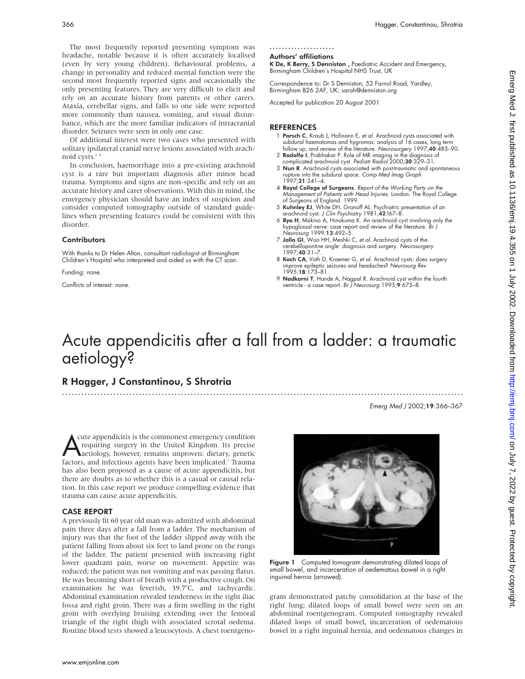The most frequently reported presenting symptom was headache, notable because it is often accurately localised (even by very young children). Behavioural problems, a change in personality and reduced mental function were the second most frequently reported signs and occasionally the only presenting features. They are very difficult to elicit and rely on an accurate history from parents or other carers. Ataxia, cerebellar signs, and falls to one side were reported more commonly than nausea, vomiting, and visual disturbance, which are the more familiar indicators of intracranial disorder. Seizures were seen in only one case.

Of additional interest were two cases who presented with solitary ipsilateral cranial nerve lesions associated with arachnoid cysts. $2$ <sup>9</sup>

In conclusion, haemorrhage into a pre-existing arachnoid cyst is a rare but important diagnosis after minor head trauma. Symptoms and signs are non-specific and rely on an accurate history and carer observations. With this in mind, the emergency physician should have an index of suspicion and consider computed tomography outside of standard guidelines when presenting features could be consistent with this disorder.

#### **Contributors**

With thanks to Dr Helen Alton, consultant radiologist at Birmingham Children's Hospital who interpreted and aided us with the CT scan.

Funding: none.

Conflicts of interest: none.

#### .....................

#### Authors' affiliations

K De, K Berry, S Denniston , Paediatric Accident and Emergency, Birmingham Children's Hospital NHS Trust, UK

Correspondence to: Dr S Denniston, 52 Farnol Road, Yardley, Birmingham B26 2AF, UK; sarah@denniston.org

Accepted for publication 20 August 2001

#### REFERENCES

- 1 Parsch C, Kraub J, Hofinann E, et al. Arachnoid cysts associated with subdural haematomas and hygromas: analysis of 16 cases, long term follow up, and review of the literature. Neurosurgery 1997;40:483–90.
- 2 Rodolfo I, Prabhakar P. Role of MR imaging in the diagnosis of complicated arachnoid cyst. Pediatr Radiol 2000;30:329–31.
- 3 Nun R. Arachnoid cysts associated with post-traumatic and spontaneous rupture into the subdural space. Comp Med Imag Graph 1997;21:341–4.
- 4 Royal College of Surgeons. Report of the Working Party on the Management of Patients with Head Injuries. London: The Royal College of Surgeons of England. 1999.
- 5 Kuhnley EJ, White DH, Granoff AL. Psychiatric presentation of an arachnoid cyst. *J Clin Psychiatry* 1981;**42**:167–8.<br>6 **Rya H**, Makino A, Hinokuma K. An arachnoid cyst involving only the
- hypoglossal nerve: case report and review of the literature. Br J
- Neurosurg 1999;**13**:492–5.<br>7 **Jallo GI**, Woo HH, Meshki C, et al. Arachnoid cysts of the cerebellopontine angle: diagnosis and surgery. Neurosurgery  $1997.40.31 - 7$
- 8 Koch CA, Voth D, Kraemer G, et al. Arachnoid cysts: does surgery improve epileptic seizures and headaches? Neurosurg Rev 1995;18:173–81.
- 9 **Nadkarni T**, Hande A, Nagpal R. Arachnoid cyst within the fourth ventricle - a case report. Br J Neurosurg 1995;9:675-8.

# Acute appendicitis after a fall from a ladder: a traumatic aetiology?

.............................................................................................................................

# R Hagger, J Constantinou, S Shrotria

Emerg Med J 2002;19:366–367

The appendicitis is the commonest emergency condition<br>requiring surgery in the United Kingdom. Its precise<br>factors, and infectious agents have been implicated.<sup>1</sup> Trauma cute appendicitis is the commonest emergency condition requiring surgery in the United Kingdom. Its precise aetiology, however, remains unproven: dietary, genetic has also been proposed as a cause of acute appendicitis, but there are doubts as to whether this is a casual or causal relation. In this case report we produce compelling evidence that trauma can cause acute appendicitis.

#### CASE REPORT

A previously fit 60 year old man was admitted with abdominal pain three days after a fall from a ladder. The mechanism of injury was that the foot of the ladder slipped away with the patient falling from about six feet to land prone on the rungs of the ladder. The patient presented with increasing right lower quadrant pain, worse on movement. Appetite was reduced; the patient was not vomiting and was passing flatus. He was becoming short of breath with a productive cough. On examination he was feverish, 39.7°C, and tachycardic. Abdominal examination revealed tenderness in the right iliac fossa and right groin. There was a firm swelling in the right groin with overlying bruising extending over the femoral triangle of the right thigh with associated scrotal oedema. Routine blood tests showed a leucocytosis. A chest roentgeno-



Figure 1 Computed tomogram demonstrating dilated loops of small bowel, and incarceration of oedematous bowel in a right inguinal hernia (arrowed).

gram demonstrated patchy consolidation at the base of the right lung; dilated loops of small bowel were seen on an abdominal roentgenogram. Computed tomography revealed dilated loops of small bowel, incarceration of oedematous bowel in a right inguinal hernia, and oedematous changes in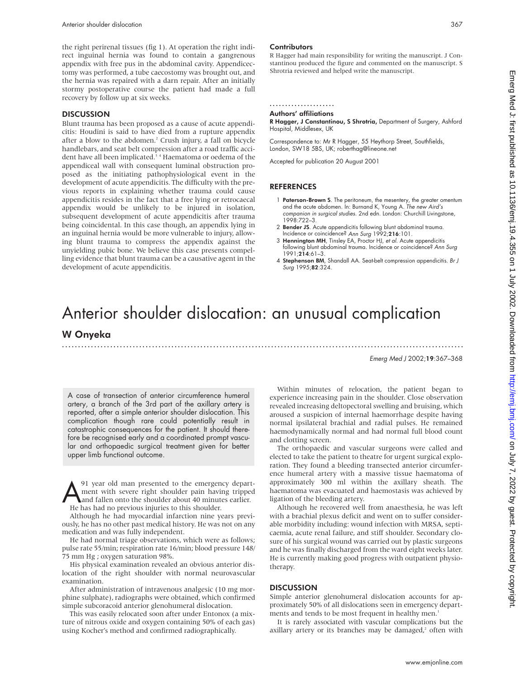the right perirenal tissues (fig 1). At operation the right indirect inguinal hernia was found to contain a gangrenous appendix with free pus in the abdominal cavity. Appendicectomy was performed, a tube caecostomy was brought out, and the hernia was repaired with a darn repair. After an initially stormy postoperative course the patient had made a full recovery by follow up at six weeks.

#### **DISCUSSION**

Blunt trauma has been proposed as a cause of acute appendicitis: Houdini is said to have died from a rupture appendix after a blow to the abdomen.<sup>2</sup> Crush injury, a fall on bicycle handlebars, and seat belt compression after a road traffic accident have all been implicated.<sup>34</sup> Haematoma or oedema of the appendiceal wall with consequent luminal obstruction proposed as the initiating pathophysiological event in the development of acute appendicitis. The difficulty with the previous reports in explaining whether trauma could cause appendicitis resides in the fact that a free lying or retrocaecal appendix would be unlikely to be injured in isolation, subsequent development of acute appendicitis after trauma being coincidental. In this case though, an appendix lying in an inguinal hernia would be more vulnerable to injury, allowing blunt trauma to compress the appendix against the unyielding pubic bone. We believe this case presents compelling evidence that blunt trauma can be a causative agent in the development of acute appendicitis.

#### **Contributors**

R Hagger had main responsibility for writing the manuscript. J Constantinou produced the figure and commented on the manuscript. S Shrotria reviewed and helped write the manuscript.

.....................

## Authors' affiliations

R Hagger, J Constantinou, S Shrotria, Department of Surgery, Ashford Hospital, Middlesex, UK

Correspondence to: Mr R Hagger, 55 Heythorp Street, Southfields, London, SW18 5BS, UK; roberthag@lineone.net

Accepted for publication 20 August 2001

#### REFERENCES

- 1 **Paterson-Brown S**. The peritoneum, the mesentery, the greater omentum and the acute abdomen. In: Burnand K, Young A. *The new Aird's* companion in surgical studies. 2nd edn. London: Churchill Livingstone, 1998:722–3.
- 2 Bender JS. Acute appendicitis following blunt abdominal trauma. Incidence or coincidence? Ann Surg 1992;216:101.
- 3 Hennington MH, Tinsley EA, Proctor HJ, et al. Acute appendicitis following blunt abdominal trauma. Incidence or coincidence? Ann Surg 1991;214:61–3.
- 4 Stephenson BM, Shandall AA. Seat-belt compression appendicitis. Br J Surg 1995;82:324.

# Anterior shoulder dislocation: an unusual complication W Onyeka

.............................................................................................................................

Emerg Med J 2002;19:367–368

A case of transection of anterior circumference humeral artery, a branch of the 3rd part of the axillary artery is reported, after a simple anterior shoulder dislocation. This complication though rare could potentially result in catastrophic consequences for the patient. It should therefore be recognised early and a coordinated prompt vascular and orthopaedic surgical treatment given for better upper limb functional outcome.

A<br>A year old man presented to the emergency depart-<br>ment with severe right shoulder pain having tripped<br>and fallen onto the shoulder about 40 minutes earlier.<br>He has had no previous injuries to this shoulder ment with severe right shoulder pain having tripped and fallen onto the shoulder about 40 minutes earlier. He has had no previous injuries to this shoulder.

Although he had myocardial infarction nine years previously, he has no other past medical history. He was not on any medication and was fully independent.

He had normal triage observations, which were as follows; pulse rate 55/min; respiration rate 16/min; blood pressure 148/ 75 mm Hg ; oxygen saturation 98%.

His physical examination revealed an obvious anterior dislocation of the right shoulder with normal neurovascular examination.

After administration of intravenous analgesic (10 mg morphine sulphate), radiographs were obtained, which confirmed simple subcoracoid anterior glenohumeral dislocation.

This was easily relocated soon after under Entonox (a mixture of nitrous oxide and oxygen containing 50% of each gas) using Kocher's method and confirmed radiographically.

Within minutes of relocation, the patient began to experience increasing pain in the shoulder. Close observation revealed increasing deltopectoral swelling and bruising, which aroused a suspicion of internal haemorrhage despite having normal ipsilateral brachial and radial pulses. He remained haemodynamically normal and had normal full blood count and clotting screen.

The orthopaedic and vascular surgeons were called and elected to take the patient to theatre for urgent surgical exploration. They found a bleeding transected anterior circumference humeral artery with a massive tissue haematoma of approximately 300 ml within the axillary sheath. The haematoma was evacuated and haemostasis was achieved by ligation of the bleeding artery.

Although he recovered well from anaesthesia, he was left with a brachial plexus deficit and went on to suffer considerable morbidity including: wound infection with MRSA, septicaemia, acute renal failure, and stiff shoulder. Secondary closure of his surgical wound was carried out by plastic surgeons and he was finally discharged from the ward eight weeks later. He is currently making good progress with outpatient physiotherapy.

#### **DISCUSSION**

Simple anterior glenohumeral dislocation accounts for approximately 50% of all dislocations seen in emergency departments and tends to be most frequent in healthy men.<sup>1</sup>

It is rarely associated with vascular complications but the axillary artery or its branches may be damaged,<sup>2</sup> often with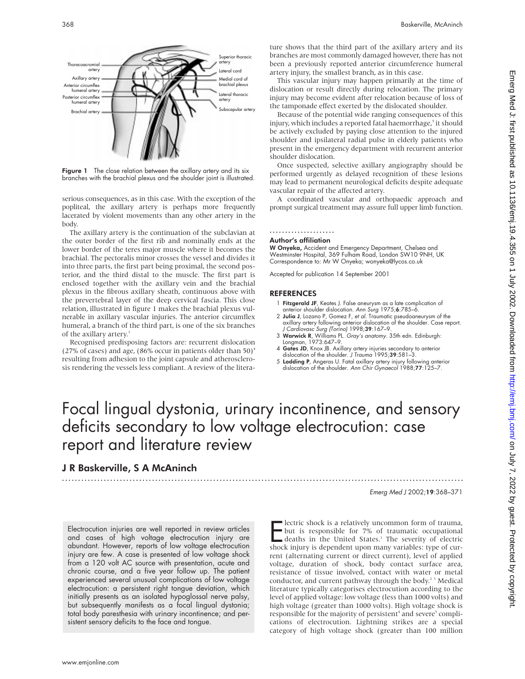

Figure 1 The close relation between the axillary artery and its six branches with the brachial plexus and the shoulder joint is illustrated.

serious consequences, as in this case. With the exception of the popliteal, the axillary artery is perhaps more frequently lacerated by violent movements than any other artery in the body.

The axillary artery is the continuation of the subclavian at the outer border of the first rib and nominally ends at the lower border of the teres major muscle where it becomes the brachial. The pectoralis minor crosses the vessel and divides it into three parts, the first part being proximal, the second posterior, and the third distal to the muscle. The first part is enclosed together with the axillary vein and the brachial plexus in the fibrous axillary sheath, continuous above with the prevertebral layer of the deep cervical fascia. This close relation, illustrated in figure 1 makes the brachial plexus vulnerable in axillary vascular injuries. The anterior circumflex humeral, a branch of the third part, is one of the six branches of the axillary artery.<sup>3</sup>

Recognised predisposing factors are: recurrent dislocation (27% of cases) and age, (86% occur in patients older than  $50$ )<sup>4</sup> resulting from adhesion to the joint capsule and atherosclerosis rendering the vessels less compliant. A review of the literature shows that the third part of the axillary artery and its branches are most commonly damaged however, there has not been a previously reported anterior circumference humeral artery injury, the smallest branch, as in this case.

This vascular injury may happen primarily at the time of dislocation or result directly during relocation. The primary injury may become evident after relocation because of loss of the tamponade effect exerted by the dislocated shoulder.

Because of the potential wide ranging consequences of this injury, which includes a reported fatal haemorrhage,<sup>5</sup> it should be actively excluded by paying close attention to the injured shoulder and ipsilateral radial pulse in elderly patients who present in the emergency department with recurrent anterior shoulder dislocation.

Once suspected, selective axillary angiography should be performed urgently as delayed recognition of these lesions may lead to permanent neurological deficits despite adequate vascular repair of the affected artery.

A coordinated vascular and orthopaedic approach and prompt surgical treatment may assure full upper limb function.

# .....................

#### Author's affiliation

W Onyeka, Accident and Emergency Department, Chelsea and Westminster Hospital, 369 Fulham Road, London SW10 9NH, UK Correspondence to: Mr W Onyeka; wonyeka@lycos.co.uk

Accepted for publication 14 September 2001

#### REFERENCES

- 1 Fitzgerald JF, Keates J. False aneurysm as a late complication of anterior shoulder dislocation. Ann Surg 1975;6:785–6.
- 2 Julia J, Lozano P, Gomez F, et al. Traumatic pseudoaneurysm of the axillary artery following anterior dislocation of the shoulder. Case report.<br>J Cardiovasc Surg (Torino) 1998;**39**:167–9.<br>**3 Warwick R**, Williams PL. Gray*'s anatomy.* 35th edn. Edinburgh:
- Longman, 1973:647–9.
- 4 Gates JD, Knox JB. Axillary artery injuries secondary to anterior dislocation of the shoulder. J Trauma 1995;39:581-3.
- 5 Lodding P, Angeras U. Fatal axillary artery injury following anterior dislocation of the shoulder. Ann Chir Gynaecol 1988;77:125-7.

# Focal lingual dystonia, urinary incontinence, and sensory deficits secondary to low voltage electrocution: case report and literature review

# J R Baskerville, S A McAninch

.............................................................................................................................

Emerg Med J 2002;19:368–371

Electrocution injuries are well reported in review articles and cases of high voltage electrocution injury are abundant. However, reports of low voltage electrocution injury are few. A case is presented of low voltage shock from a 120 volt AC source with presentation, acute and chronic course, and a five year follow up. The patient experienced several unusual complications of low voltage electrocution: a persistent right tongue deviation, which initially presents as an isolated hypoglossal nerve palsy, but subsequently manifests as a focal lingual dystonia; total body paresthesia with urinary incontinence; and persistent sensory deficits to the face and tongue.

**Exercic shock is a relatively uncommon form of trauma,**<br>but is responsible for 7% of traumatic occupational<br>deaths in the United States.<sup>1</sup> The severity of electric<br>shock injury is dependent upon many variables: type of c lectric shock is a relatively uncommon form of trauma, but is responsible for 7% of traumatic occupational deaths in the United States.<sup>1</sup> The severity of electric rent (alternating current or direct current), level of applied voltage, duration of shock, body contact surface area, resistance of tissue involved, contact with water or metal conductor, and current pathway through the body.<sup>23</sup> Medical literature typically categorises electrocution according to the level of applied voltage: low voltage (less than 1000 volts) and high voltage (greater than 1000 volts). High voltage shock is responsible for the majority of persistent<sup>4</sup> and severe<sup>5</sup> complications of electrocution. Lightning strikes are a special category of high voltage shock (greater than 100 million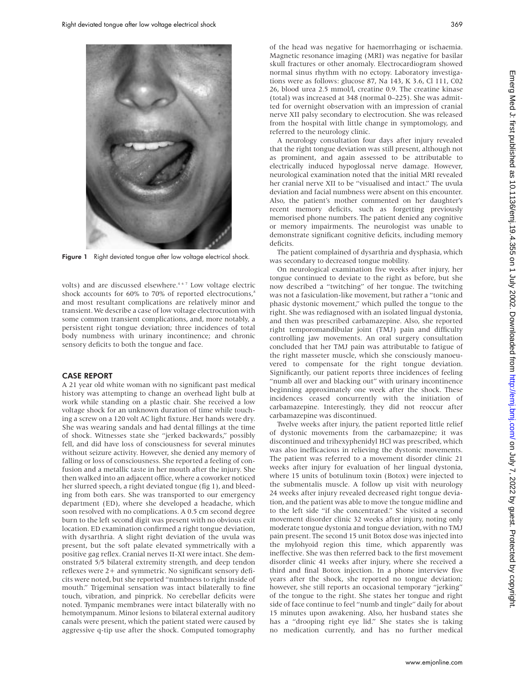

Figure 1 Right deviated tongue after low voltage electrical shock.

volts) and are discussed elsewhere.<sup>467</sup> Low voltage electric shock accounts for 60% to 70% of reported electrocutions, $s$ and most resultant complications are relatively minor and transient. We describe a case of low voltage electrocution with some common transient complications, and, more notably, a persistent right tongue deviation; three incidences of total body numbness with urinary incontinence; and chronic sensory deficits to both the tongue and face.

#### CASE REPORT

A 21 year old white woman with no significant past medical history was attempting to change an overhead light bulb at work while standing on a plastic chair. She received a low voltage shock for an unknown duration of time while touching a screw on a 120 volt AC light fixture. Her hands were dry. She was wearing sandals and had dental fillings at the time of shock. Witnesses state she "jerked backwards," possibly fell, and did have loss of consciousness for several minutes without seizure activity. However, she denied any memory of falling or loss of consciousness. She reported a feeling of confusion and a metallic taste in her mouth after the injury. She then walked into an adjacent office, where a coworker noticed her slurred speech, a right deviated tongue (fig 1), and bleeding from both ears. She was transported to our emergency department (ED), where she developed a headache, which soon resolved with no complications. A 0.5 cm second degree burn to the left second digit was present with no obvious exit location. ED examination confirmed a right tongue deviation, with dysarthria. A slight right deviation of the uvula was present, but the soft palate elevated symmetrically with a positive gag reflex. Cranial nerves II-XI were intact. She demonstrated 5/5 bilateral extremity strength, and deep tendon reflexes were 2+ and symmetric. No significant sensory deficits were noted, but she reported "numbness to right inside of mouth." Trigeminal sensation was intact bilaterally to fine touch, vibration, and pinprick. No cerebellar deficits were noted. Tympanic membranes were intact bilaterally with no hemotympanum. Minor lesions to bilateral external auditory canals were present, which the patient stated were caused by aggressive q-tip use after the shock. Computed tomography

Magnetic resonance imaging (MRI) was negative for basilar skull fractures or other anomaly. Electrocardiogram showed normal sinus rhythm with no ectopy. Laboratory investigations were as follows: glucose 87, Na 143, K 3.6, Cl 111, C02 26, blood urea 2.5 mmol/l, creatine 0.9. The creatine kinase (total) was increased at 348 (normal 0–225). She was admitted for overnight observation with an impression of cranial nerve XII palsy secondary to electrocution. She was released from the hospital with little change in symptomology, and referred to the neurology clinic.

A neurology consultation four days after injury revealed that the right tongue deviation was still present, although not as prominent, and again assessed to be attributable to electrically induced hypoglossal nerve damage. However, neurological examination noted that the initial MRI revealed her cranial nerve XII to be "visualised and intact." The uvula deviation and facial numbness were absent on this encounter. Also, the patient's mother commented on her daughter's recent memory deficits, such as forgetting previously memorised phone numbers. The patient denied any cognitive or memory impairments. The neurologist was unable to demonstrate significant cognitive deficits, including memory deficits.

The patient complained of dysarthria and dysphasia, which was secondary to decreased tongue mobility.

On neurological examination five weeks after injury, her tongue continued to deviate to the right as before, but she now described a "twitching" of her tongue. The twitching was not a fasiculation-like movement, but rather a "tonic and phasic dystonic movement," which pulled the tongue to the right. She was rediagnosed with an isolated lingual dystonia, and then was prescribed carbamazepine. Also, she reported right temporomandibular joint (TMJ) pain and difficulty controlling jaw movements. An oral surgery consultation concluded that her TMJ pain was attributable to fatigue of the right masseter muscle, which she consciously manoeuvered to compensate for the right tongue deviation. Significantly, our patient reports three incidences of feeling "numb all over and blacking out" with urinary incontinence beginning approximately one week after the shock. These incidences ceased concurrently with the initiation of carbamazepine. Interestingly, they did not reoccur after carbamazepine was discontinued.

Twelve weeks after injury, the patient reported little relief of dystonic movements from the carbamazepine; it was discontinued and trihexyphenidyl HCl was prescribed, which was also inefficacious in relieving the dystonic movements. The patient was referred to a movement disorder clinic 21 weeks after injury for evaluation of her lingual dystonia, where 15 units of botulinum toxin (Botox) were injected to the submentalis muscle. A follow up visit with neurology 24 weeks after injury revealed decreased right tongue deviation, and the patient was able to move the tongue midline and to the left side "if she concentrated." She visited a second movement disorder clinic 32 weeks after injury, noting only moderate tongue dystonia and tongue deviation, with no TMJ pain present. The second 15 unit Botox dose was injected into the mylohyoid region this time, which apparently was ineffective. She was then referred back to the first movement disorder clinic 41 weeks after injury, where she received a third and final Botox injection. In a phone interview five years after the shock, she reported no tongue deviation; however, she still reports an occasional temporary "jerking" of the tongue to the right. She states her tongue and right side of face continue to feel "numb and tingle" daily for about 15 minutes upon awakening. Also, her husband states she has a "drooping right eye lid." She states she is taking no medication currently, and has no further medical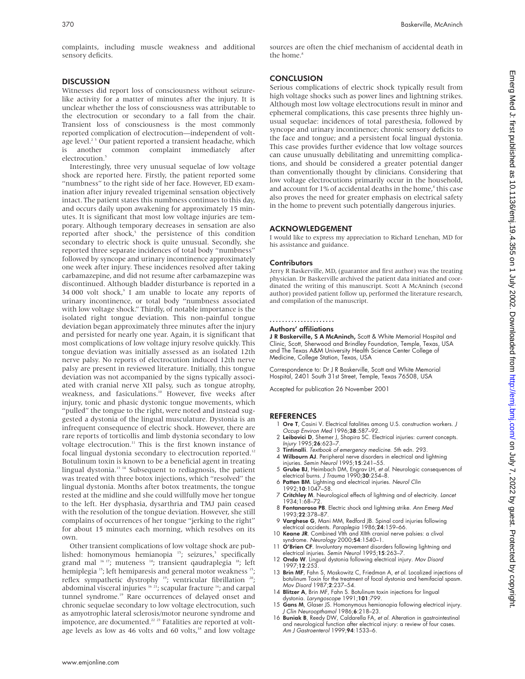complaints, including muscle weakness and additional sensory deficits.

#### **DISCUSSION**

Witnesses did report loss of consciousness without seizurelike activity for a matter of minutes after the injury. It is unclear whether the loss of consciousness was attributable to the electrocution or secondary to a fall from the chair. Transient loss of consciousness is the most commonly reported complication of electrocution—independent of voltage level.<sup>25</sup> Our patient reported a transient headache, which is another common complaint immediately after electrocution.

Interestingly, three very unusual sequelae of low voltage shock are reported here. Firstly, the patient reported some "numbness" to the right side of her face. However, ED examination after injury revealed trigeminal sensation objectively intact. The patient states this numbness continues to this day, and occurs daily upon awakening for approximately 15 minutes. It is significant that most low voltage injuries are temporary. Although temporary decreases in sensation are also reported after shock,<sup>5</sup> the persistence of this condition secondary to electric shock is quite unusual. Secondly, she reported three separate incidences of total body "numbness" followed by syncope and urinary incontinence approximately one week after injury. These incidences resolved after taking carbamazepine, and did not resume after carbamazepine was discontinued. Although bladder disturbance is reported in a 34 000 volt shock,<sup>9</sup> I am unable to locate any reports of urinary incontinence, or total body "numbness associated with low voltage shock." Thirdly, of notable importance is the isolated right tongue deviation. This non-painful tongue deviation began approximately three minutes after the injury and persisted for nearly one year. Again, it is significant that most complications of low voltage injury resolve quickly. This tongue deviation was initially assessed as an isolated 12th nerve palsy. No reports of electrocution induced 12th nerve palsy are present in reviewed literature. Initially, this tongue deviation was not accompanied by the signs typically associated with cranial nerve XII palsy, such as tongue atrophy, weakness, and fasiculations.<sup>10</sup> However, five weeks after injury, tonic and phasic dystonic tongue movements, which "pulled" the tongue to the right, were noted and instead suggested a dystonia of the lingual musculature. Dystonia is an infrequent consequence of electric shock. However, there are rare reports of torticollis and limb dystonia secondary to low voltage electrocution.<sup>11</sup> This is the first known instance of focal lingual dystonia secondary to electrocution reported.<sup>12</sup> Botulinum toxin is known to be a beneficial agent in treating lingual dystonia.13 14 Subsequent to rediagnosis, the patient was treated with three botox injections, which "resolved" the lingual dystonia. Months after botox treatments, the tongue rested at the midline and she could willfully move her tongue to the left. Her dysphasia, dysarthria and TMJ pain ceased with the resolution of the tongue deviation. However, she still complains of occurrences of her tongue "jerking to the right" for about 15 minutes each morning, which resolves on its own.

Other transient complications of low voltage shock are published: homonymous hemianopia  $15$ ; seizures,<sup>5</sup> specifically grand mal <sup>16 17</sup>; muteness <sup>18</sup>; transient qaudraplegia <sup>18</sup>; left hemiplegia <sup>15</sup>; left hemiparesis and general motor weakness <sup>15</sup>; reflex sympathetic dystrophy <sup>19</sup>; ventricular fibrillation <sup>20</sup>; abdominal visceral injuries <sup>16 21</sup>; scapular fracture <sup>16</sup>; and carpal tunnel syndrome.<sup>19</sup> Rare occurrences of delayed onset and chronic sequelae secondary to low voltage electrocution, such as amyotrophic lateral sclerosis/motor neurone syndrome and impotence, are documented.<sup>22</sup> <sup>23</sup> Fatalities are reported at voltage levels as low as 46 volts and 60 volts,<sup>18</sup> and low voltage

#### **CONCLUSION**

Serious complications of electric shock typically result from high voltage shocks such as power lines and lightning strikes. Although most low voltage electrocutions result in minor and ephemeral complications, this case presents three highly unusual sequelae: incidences of total paresthesia, followed by syncope and urinary incontinence; chronic sensory deficits to the face and tongue; and a persistent focal lingual dystonia. This case provides further evidence that low voltage sources can cause unusually debilitating and unremitting complications, and should be considered a greater potential danger than conventionally thought by clinicians. Considering that low voltage electrocutions primarily occur in the household, and account for 1% of accidental deaths in the home, $s$  this case also proves the need for greater emphasis on electrical safety in the home to prevent such potentially dangerous injuries.

#### ACKNOWLEDGEMENT

I would like to express my appreciation to Richard Lenehan, MD for his assistance and guidance.

#### **Contributors**

Jerry R Baskerville, MD, (guarantor and first author) was the treating physician. Dr Baskerville archived the patient data initiated and coordinated the writing of this manuscript. Scott A McAninch (second author) provided patient follow up, performed the literature research, and compilation of the manuscript.

#### .....................

#### Authors' affiliations

J R Baskerville, S A McAninch, Scott & White Memorial Hospital and Clinic, Scott, Sherwood and Brindley Foundation, Temple, Texas, USA and The Texas A&M University Health Science Center College of Medicine, College Station, Texas, USA

Correspondence to: Dr J R Baskerville, Scott and White Memorial Hospital, 2401 South 31st Street, Temple, Texas 76508, USA

Accepted for publication 26 November 2001

- 1 Ore T, Casini V. Electrical fatalities among U.S. construction workers. J Occup Environ Med 1996;38:587–92.
- 2 **Leibovici D**, Shemer J, Shapira SC. Electrical injuries: current concepts.<br>Injury 1995;**26**:623–7.
- 3 Tintinalli. Textbook of emergency medicine. 5th edn. 293. 4 Wilbourn AJ. Peripheral nerve disorders in electrical and lightning injuries. Semin Neurol 1995;15:241–55.
- 5 Grube BJ, Heimbach DM, Engrav LH, et al. Neurologic consequences of electrical burns. J Trauma 1990;30:254–8.
- 6 Patten BM. Lightning and electrical injuries. Neurol Clin 1992;10:1047–58.
- 7 Critchley M. Neurological effects of lightning and of electricity. Lancet 1934;1:68–72.
- 8 Fontanarosa PB. Electric shock and lightning strike. Ann Emerg Med 1993;22:378–87. 9 Varghese G, Mani MM, Redford JB. Spinal cord injuries following
- electrical accidents. Paraplegia 1986;24:159–66. 10 Keane JR. Combined VIth and XIIth cranial nerve palsies: a clival
- syndrome. Neurology 2000;54:1540–1. 11 O'Brien CF. Involuntary movement disorders following lightning and
- electrical injuries. Semin Neurol 1995;15:263–7.
- 12 Ondo W. Lingual dystonia following electrical injury. Mov Disord 1997;12:253.
- 13 Brin MF, Fahn S, Moskowitz C, Friedman A, et al. Localized injections of botulinum Toxin for the treatment of focal dystonia and hemifacial spasm. Mov Disord 1987;2:237–54.
- 14 **Blitzer A**, Brin MF, Fahn S. Botulinum toxin injections for lingual<br>dystonia. *Laryngoscope* 1991;**101**:799.<br>15 **Gans M**, Glaser JS. Homonymous hemianopia following electrical injury.
- J Clin Neuroopthamol 1986;6:218–23.
- 16 Buniak B, Reedy DW, Caldarella FA, et al. Alteration in gastrointestinal and neurological function after electrical injury: a review of four cases. Am J Gastroenterol 1999;94:1533–6.